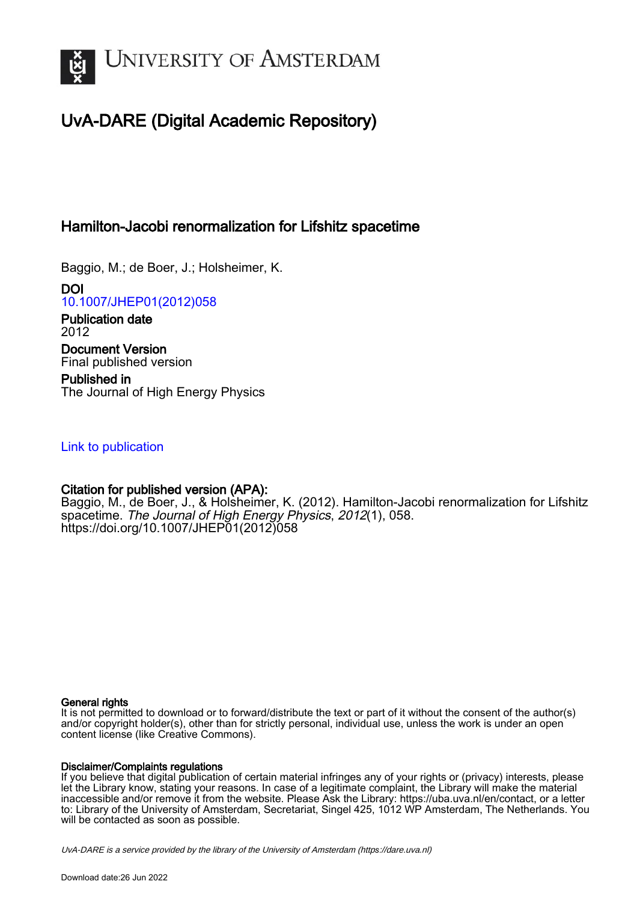

# UvA-DARE (Digital Academic Repository)

# Hamilton-Jacobi renormalization for Lifshitz spacetime

Baggio, M.; de Boer, J.; Holsheimer, K.

DOI [10.1007/JHEP01\(2012\)058](https://doi.org/10.1007/JHEP01(2012)058)

Publication date 2012 Document Version Final published version

Published in The Journal of High Energy Physics

# [Link to publication](https://dare.uva.nl/personal/pure/en/publications/hamiltonjacobi-renormalization-for-lifshitz-spacetime(88584fe9-b8b9-4539-bd40-2378deb060e8).html)

## Citation for published version (APA):

Baggio, M., de Boer, J., & Holsheimer, K. (2012). Hamilton-Jacobi renormalization for Lifshitz spacetime. The Journal of High Energy Physics, 2012(1), 058. [https://doi.org/10.1007/JHEP01\(2012\)058](https://doi.org/10.1007/JHEP01(2012)058)

## General rights

It is not permitted to download or to forward/distribute the text or part of it without the consent of the author(s) and/or copyright holder(s), other than for strictly personal, individual use, unless the work is under an open content license (like Creative Commons).

## Disclaimer/Complaints regulations

If you believe that digital publication of certain material infringes any of your rights or (privacy) interests, please let the Library know, stating your reasons. In case of a legitimate complaint, the Library will make the material inaccessible and/or remove it from the website. Please Ask the Library: https://uba.uva.nl/en/contact, or a letter to: Library of the University of Amsterdam, Secretariat, Singel 425, 1012 WP Amsterdam, The Netherlands. You will be contacted as soon as possible.

UvA-DARE is a service provided by the library of the University of Amsterdam (http*s*://dare.uva.nl)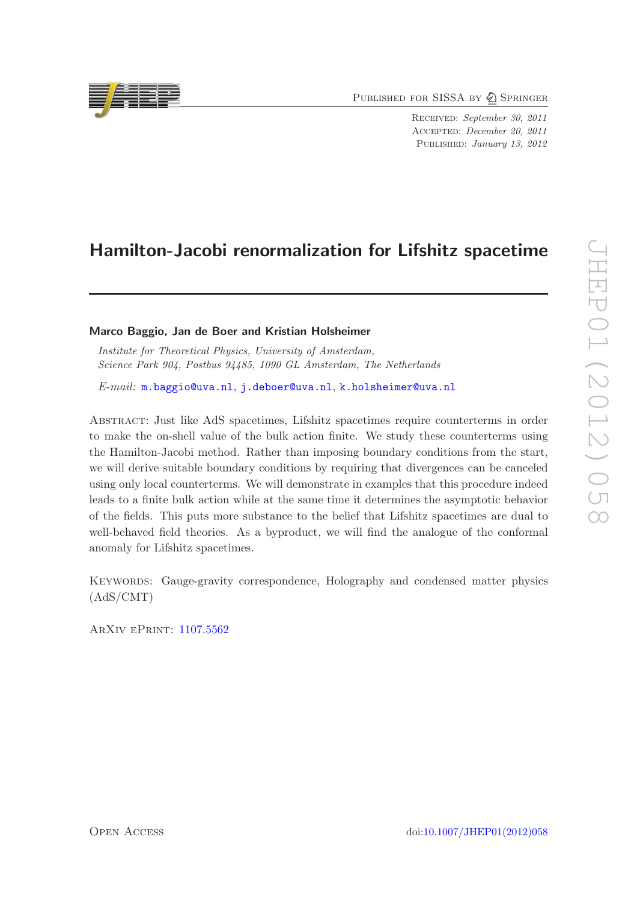PUBLISHED FOR SISSA BY 2 SPRINGER

Received: September 30, 2011 Accepted: December 20, 2011 PUBLISHED: January 13, 2012

# Hamilton-Jacobi renormalization for Lifshitz spacetime

## Marco Baggio, Jan de Boer and Kristian Holsheimer

Institute for Theoretical Physics, University of Amsterdam, Science Park 904, Postbus 94485, 1090 GL Amsterdam, The Netherlands

E-mail: [m.baggio@uva.nl](mailto:m.baggio@uva.nl), [j.deboer@uva.nl](mailto:j.deboer@uva.nl), [k.holsheimer@uva.nl](mailto:k.holsheimer@uva.nl)

Abstract: Just like AdS spacetimes, Lifshitz spacetimes require counterterms in order to make the on-shell value of the bulk action finite. We study these counterterms using the Hamilton-Jacobi method. Rather than imposing boundary conditions from the start, we will derive suitable boundary conditions by requiring that divergences can be canceled using only local counterterms. We will demonstrate in examples that this procedure indeed leads to a finite bulk action while at the same time it determines the asymptotic behavior of the fields. This puts more substance to the belief that Lifshitz spacetimes are dual to well-behaved field theories. As a byproduct, we will find the analogue of the conformal anomaly for Lifshitz spacetimes.

KEYWORDS: Gauge-gravity correspondence, Holography and condensed matter physics (AdS/CMT)

ArXiv ePrint: [1107.5562](http://arxiv.org/abs/1107.5562)

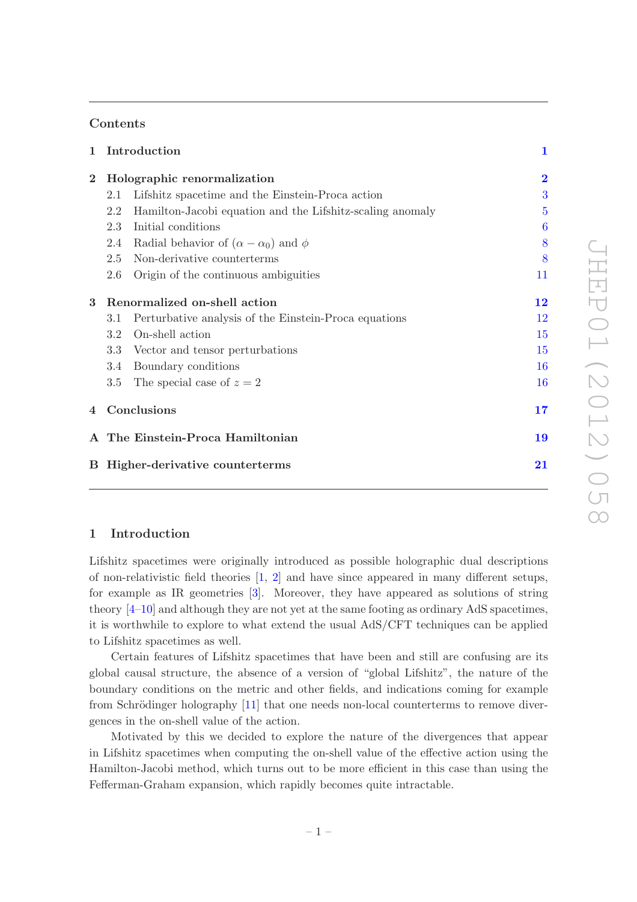## Contents

| $\mathbf 1$                             |                                  | Introduction                                              | $\mathbf{1}$   |
|-----------------------------------------|----------------------------------|-----------------------------------------------------------|----------------|
| $\overline{2}$                          | Holographic renormalization      |                                                           | $\overline{2}$ |
|                                         | 2.1                              | Lifshitz spacetime and the Einstein-Proca action          | 3              |
|                                         | 2.2                              | Hamilton-Jacobi equation and the Lifshitz-scaling anomaly | 5              |
|                                         | 2.3                              | Initial conditions                                        | 6              |
|                                         | 2.4                              | Radial behavior of $(\alpha - \alpha_0)$ and $\phi$       | 8              |
|                                         | 2.5                              | Non-derivative counterterms                               | 8              |
|                                         | 2.6                              | Origin of the continuous ambiguities                      | 11             |
| 3                                       | Renormalized on-shell action     |                                                           | $\bf{12}$      |
|                                         | 3.1                              | Perturbative analysis of the Einstein-Proca equations     | 12             |
|                                         | 3.2                              | On-shell action                                           | 15             |
|                                         | 3.3                              | Vector and tensor perturbations                           | 15             |
|                                         | 3.4                              | Boundary conditions                                       | 16             |
|                                         | 3.5                              | The special case of $z = 2$                               | 16             |
| $\overline{4}$                          | Conclusions                      |                                                           | 17             |
|                                         | A The Einstein-Proca Hamiltonian |                                                           | 19             |
| <b>B</b> Higher-derivative counterterms |                                  | 21                                                        |                |

## <span id="page-2-0"></span>1 Introduction

Lifshitz spacetimes were originally introduced as possible holographic dual descriptions of non-relativistic field theories  $\left[1, 2\right]$  and have since appeared in many different setups, for example as IR geometries [\[3\]](#page-24-2). Moreover, they have appeared as solutions of string theory [\[4](#page-24-3)[–10](#page-25-0)] and although they are not yet at the same footing as ordinary AdS spacetimes, it is worthwhile to explore to what extend the usual AdS/CFT techniques can be applied to Lifshitz spacetimes as well.

Certain features of Lifshitz spacetimes that have been and still are confusing are its global causal structure, the absence of a version of "global Lifshitz", the nature of the boundary conditions on the metric and other fields, and indications coming for example from Schrödinger holography  $[11]$  that one needs non-local counterterms to remove divergences in the on-shell value of the action.

Motivated by this we decided to explore the nature of the divergences that appear in Lifshitz spacetimes when computing the on-shell value of the effective action using the Hamilton-Jacobi method, which turns out to be more efficient in this case than using the Fefferman-Graham expansion, which rapidly becomes quite intractable.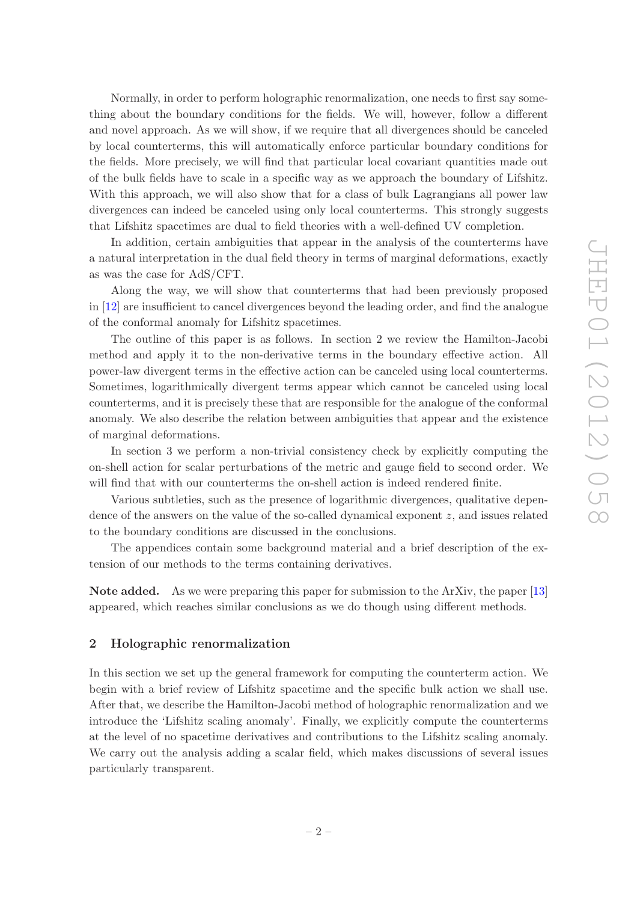Normally, in order to perform holographic renormalization, one needs to first say something about the boundary conditions for the fields. We will, however, follow a different and novel approach. As we will show, if we require that all divergences should be canceled by local counterterms, this will automatically enforce particular boundary conditions for the fields. More precisely, we will find that particular local covariant quantities made out of the bulk fields have to scale in a specific way as we approach the boundary of Lifshitz. With this approach, we will also show that for a class of bulk Lagrangians all power law divergences can indeed be canceled using only local counterterms. This strongly suggests that Lifshitz spacetimes are dual to field theories with a well-defined UV completion.

In addition, certain ambiguities that appear in the analysis of the counterterms have a natural interpretation in the dual field theory in terms of marginal deformations, exactly as was the case for AdS/CFT.

Along the way, we will show that counterterms that had been previously proposed in [\[12](#page-25-2)] are insufficient to cancel divergences beyond the leading order, and find the analogue of the conformal anomaly for Lifshitz spacetimes.

The outline of this paper is as follows. In section 2 we review the Hamilton-Jacobi method and apply it to the non-derivative terms in the boundary effective action. All power-law divergent terms in the effective action can be canceled using local counterterms. Sometimes, logarithmically divergent terms appear which cannot be canceled using local counterterms, and it is precisely these that are responsible for the analogue of the conformal anomaly. We also describe the relation between ambiguities that appear and the existence of marginal deformations.

In section 3 we perform a non-trivial consistency check by explicitly computing the on-shell action for scalar perturbations of the metric and gauge field to second order. We will find that with our counterterms the on-shell action is indeed rendered finite.

Various subtleties, such as the presence of logarithmic divergences, qualitative dependence of the answers on the value of the so-called dynamical exponent z, and issues related to the boundary conditions are discussed in the conclusions.

The appendices contain some background material and a brief description of the extension of our methods to the terms containing derivatives.

Note added. As we were preparing this paper for submission to the ArXiv, the paper [\[13\]](#page-25-3) appeared, which reaches similar conclusions as we do though using different methods.

## <span id="page-3-0"></span>2 Holographic renormalization

In this section we set up the general framework for computing the counterterm action. We begin with a brief review of Lifshitz spacetime and the specific bulk action we shall use. After that, we describe the Hamilton-Jacobi method of holographic renormalization and we introduce the 'Lifshitz scaling anomaly'. Finally, we explicitly compute the counterterms at the level of no spacetime derivatives and contributions to the Lifshitz scaling anomaly. We carry out the analysis adding a scalar field, which makes discussions of several issues particularly transparent.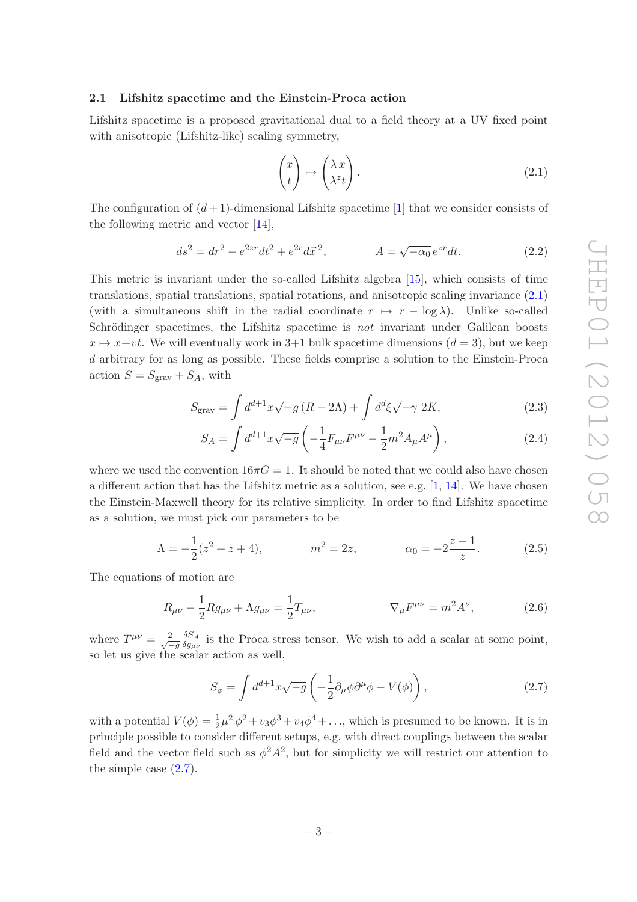## <span id="page-4-0"></span>2.1 Lifshitz spacetime and the Einstein-Proca action

Lifshitz spacetime is a proposed gravitational dual to a field theory at a UV fixed point with anisotropic (Lifshitz-like) scaling symmetry,

<span id="page-4-1"></span>
$$
\begin{pmatrix} x \\ t \end{pmatrix} \mapsto \begin{pmatrix} \lambda \, x \\ \lambda^z t \end{pmatrix} . \tag{2.1}
$$

The configuration of  $(d+1)$ -dimensional Lifshitz spacetime [\[1\]](#page-24-0) that we consider consists of the following metric and vector [\[14](#page-25-4)],

$$
ds^{2} = dr^{2} - e^{2zr}dt^{2} + e^{2r}d\vec{x}^{2}, \qquad A = \sqrt{-\alpha_{0}}e^{zr}dt.
$$
 (2.2)

This metric is invariant under the so-called Lifshitz algebra [\[15](#page-25-5)], which consists of time translations, spatial translations, spatial rotations, and anisotropic scaling invariance [\(2.1\)](#page-4-1) (with a simultaneous shift in the radial coordinate  $r \mapsto r - \log \lambda$ ). Unlike so-called Schrödinger spacetimes, the Lifshitz spacetime is *not* invariant under Galilean boosts  $x \mapsto x+vt$ . We will eventually work in 3+1 bulk spacetime dimensions  $(d = 3)$ , but we keep d arbitrary for as long as possible. These fields comprise a solution to the Einstein-Proca action  $S = S_{\text{grav}} + S_A$ , with

$$
S_{\text{grav}} = \int d^{d+1}x \sqrt{-g} \left( R - 2\Lambda \right) + \int d^d\xi \sqrt{-\gamma} \ 2K,\tag{2.3}
$$

<span id="page-4-4"></span><span id="page-4-3"></span>
$$
S_A = \int d^{d+1}x \sqrt{-g} \left( -\frac{1}{4} F_{\mu\nu} F^{\mu\nu} - \frac{1}{2} m^2 A_\mu A^\mu \right), \qquad (2.4)
$$

where we used the convention  $16\pi G = 1$ . It should be noted that we could also have chosen a different action that has the Lifshitz metric as a solution, see e.g.  $[1, 14]$  $[1, 14]$ . We have chosen the Einstein-Maxwell theory for its relative simplicity. In order to find Lifshitz spacetime as a solution, we must pick our parameters to be

<span id="page-4-5"></span>
$$
\Lambda = -\frac{1}{2}(z^2 + z + 4), \qquad m^2 = 2z, \qquad \alpha_0 = -2\frac{z - 1}{z}.
$$
 (2.5)

The equations of motion are

$$
R_{\mu\nu} - \frac{1}{2} R g_{\mu\nu} + \Lambda g_{\mu\nu} = \frac{1}{2} T_{\mu\nu}, \qquad \nabla_{\mu} F^{\mu\nu} = m^2 A^{\nu}, \qquad (2.6)
$$

where  $T^{\mu\nu} = \frac{2}{\sqrt{2}}$  $-g$  $\delta S_A$  $\frac{\partial S_A}{\partial g_{\mu\nu}}$  is the Proca stress tensor. We wish to add a scalar at some point, so let us give the scalar action as well.

<span id="page-4-2"></span>
$$
S_{\phi} = \int d^{d+1}x \sqrt{-g} \left( -\frac{1}{2} \partial_{\mu} \phi \partial^{\mu} \phi - V(\phi) \right), \qquad (2.7)
$$

with a potential  $V(\phi) = \frac{1}{2}\mu^2 \phi^2 + v_3 \phi^3 + v_4 \phi^4 + \dots$ , which is presumed to be known. It is in principle possible to consider different setups, e.g. with direct couplings between the scalar field and the vector field such as  $\phi^2 A^2$ , but for simplicity we will restrict our attention to the simple case [\(2.7\)](#page-4-2).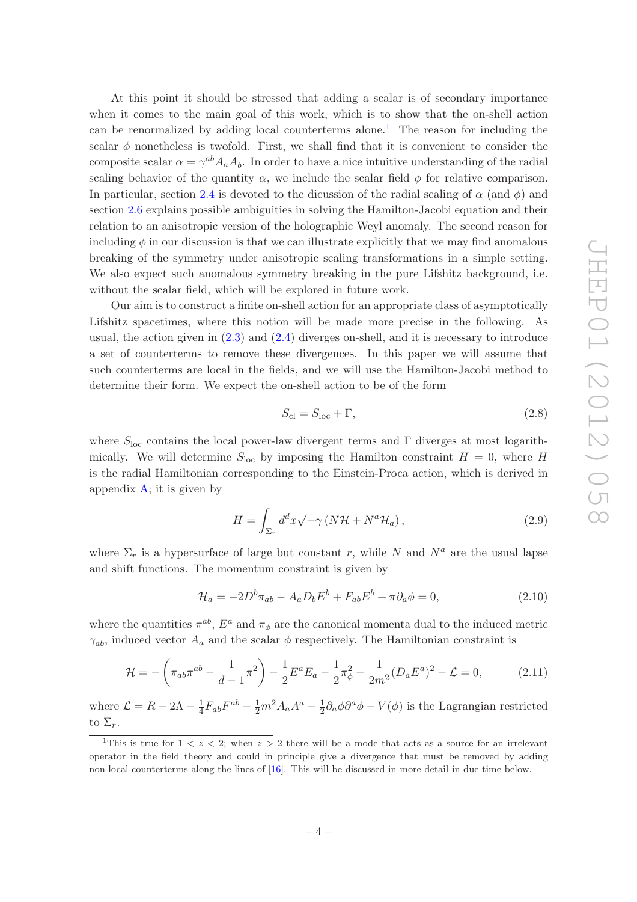At this point it should be stressed that adding a scalar is of secondary importance when it comes to the main goal of this work, which is to show that the on-shell action can be renormalized by adding local counterterms alone.<sup>[1](#page-5-0)</sup> The reason for including the scalar  $\phi$  nonetheless is twofold. First, we shall find that it is convenient to consider the composite scalar  $\alpha = \gamma^{ab} A_a A_b$ . In order to have a nice intuitive understanding of the radial scaling behavior of the quantity  $\alpha$ , we include the scalar field  $\phi$  for relative comparison. In particular, section [2.4](#page-9-0) is devoted to the dicussion of the radial scaling of  $\alpha$  (and  $\phi$ ) and section [2.6](#page-12-0) explains possible ambiguities in solving the Hamilton-Jacobi equation and their relation to an anisotropic version of the holographic Weyl anomaly. The second reason for including  $\phi$  in our discussion is that we can illustrate explicitly that we may find anomalous breaking of the symmetry under anisotropic scaling transformations in a simple setting. We also expect such anomalous symmetry breaking in the pure Lifshitz background, i.e. without the scalar field, which will be explored in future work.

Our aim is to construct a finite on-shell action for an appropriate class of asymptotically Lifshitz spacetimes, where this notion will be made more precise in the following. As usual, the action given in  $(2.3)$  and  $(2.4)$  diverges on-shell, and it is necessary to introduce a set of counterterms to remove these divergences. In this paper we will assume that such counterterms are local in the fields, and we will use the Hamilton-Jacobi method to determine their form. We expect the on-shell action to be of the form

$$
S_{\rm cl} = S_{\rm loc} + \Gamma,\tag{2.8}
$$

where  $S_{\text{loc}}$  contains the local power-law divergent terms and  $\Gamma$  diverges at most logarithmically. We will determine  $S<sub>loc</sub>$  by imposing the Hamilton constraint  $H = 0$ , where H is the radial Hamiltonian corresponding to the Einstein-Proca action, which is derived in appendix  $A$ ; it is given by

<span id="page-5-1"></span>
$$
H = \int_{\Sigma_r} d^d x \sqrt{-\gamma} \left( N \mathcal{H} + N^a \mathcal{H}_a \right), \tag{2.9}
$$

where  $\Sigma_r$  is a hypersurface of large but constant r, while N and  $N^a$  are the usual lapse and shift functions. The momentum constraint is given by

$$
\mathcal{H}_a = -2D^b \pi_{ab} - A_a D_b E^b + F_{ab} E^b + \pi \partial_a \phi = 0, \qquad (2.10)
$$

where the quantities  $\pi^{ab}$ ,  $E^a$  and  $\pi_{\phi}$  are the canonical momenta dual to the induced metric  $\gamma_{ab}$ , induced vector  $A_a$  and the scalar  $\phi$  respectively. The Hamiltonian constraint is

$$
\mathcal{H} = -\left(\pi_{ab}\pi^{ab} - \frac{1}{d-1}\pi^2\right) - \frac{1}{2}E^aE_a - \frac{1}{2}\pi^2_{\phi} - \frac{1}{2m^2}(D_aE^a)^2 - \mathcal{L} = 0,\tag{2.11}
$$

where  $\mathcal{L} = R - 2\Lambda - \frac{1}{4}$  $\frac{1}{4}F_{ab}F^{ab} - \frac{1}{2}m^2A_aA^a - \frac{1}{2}$  $\frac{1}{2}\partial_a\phi\partial^a\phi - V(\phi)$  is the Lagrangian restricted to  $\Sigma_r$ .

<span id="page-5-0"></span><sup>&</sup>lt;sup>1</sup>This is true for  $1 < z < 2$ ; when  $z > 2$  there will be a mode that acts as a source for an irrelevant operator in the field theory and could in principle give a divergence that must be removed by adding non-local counterterms along the lines of [\[16](#page-25-6)]. This will be discussed in more detail in due time below.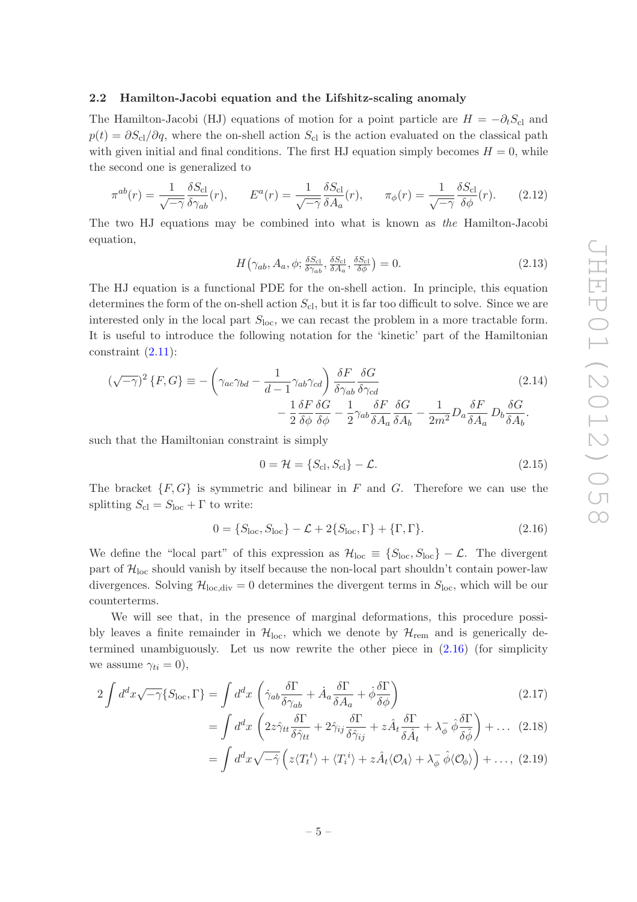## <span id="page-6-0"></span>2.2 Hamilton-Jacobi equation and the Lifshitz-scaling anomaly

The Hamilton-Jacobi (HJ) equations of motion for a point particle are  $H = -\partial_t S_{\text{cl}}$  and  $p(t) = \partial S_{\rm cl}/\partial q$ , where the on-shell action  $S_{\rm cl}$  is the action evaluated on the classical path with given initial and final conditions. The first HJ equation simply becomes  $H = 0$ , while the second one is generalized to

$$
\pi^{ab}(r) = \frac{1}{\sqrt{-\gamma}} \frac{\delta S_{\text{cl}}}{\delta \gamma_{ab}}(r), \qquad E^a(r) = \frac{1}{\sqrt{-\gamma}} \frac{\delta S_{\text{cl}}}{\delta A_a}(r), \qquad \pi_\phi(r) = \frac{1}{\sqrt{-\gamma}} \frac{\delta S_{\text{cl}}}{\delta \phi}(r). \tag{2.12}
$$

The two HJ equations may be combined into what is known as the Hamilton-Jacobi equation,

<span id="page-6-2"></span>
$$
H(\gamma_{ab}, A_a, \phi; \frac{\delta S_{\text{cl}}}{\delta \gamma_{ab}}, \frac{\delta S_{\text{cl}}}{\delta A_a}, \frac{\delta S_{\text{cl}}}{\delta \phi}) = 0. \tag{2.13}
$$

The HJ equation is a functional PDE for the on-shell action. In principle, this equation determines the form of the on-shell action  $S_{\text{cl}}$ , but it is far too difficult to solve. Since we are interested only in the local part  $S_{\text{loc}}$ , we can recast the problem in a more tractable form. It is useful to introduce the following notation for the 'kinetic' part of the Hamiltonian constraint  $(2.11)$ :

$$
(\sqrt{-\gamma})^2 \{F, G\} \equiv -\left(\gamma_{ac}\gamma_{bd} - \frac{1}{d-1}\gamma_{ab}\gamma_{cd}\right) \frac{\delta F}{\delta \gamma_{ab}} \frac{\delta G}{\delta \gamma_{cd}} -\frac{1}{2} \frac{\delta F}{\delta \phi} \frac{\delta G}{\delta \phi} - \frac{1}{2} \gamma_{ab} \frac{\delta F}{\delta A_a} \frac{\delta G}{\delta A_b} - \frac{1}{2m^2} D_a \frac{\delta F}{\delta A_a} D_b \frac{\delta G}{\delta A_b}.
$$
\n(2.14)

such that the Hamiltonian constraint is simply

$$
0 = \mathcal{H} = \{S_{\rm cl}, S_{\rm cl}\} - \mathcal{L}.
$$
 (2.15)

The bracket  $\{F, G\}$  is symmetric and bilinear in F and G. Therefore we can use the splitting  $S_{\text{cl}} = S_{\text{loc}} + \Gamma$  to write:

<span id="page-6-1"></span>
$$
0 = \{S_{\text{loc}}, S_{\text{loc}}\} - \mathcal{L} + 2\{S_{\text{loc}}, \Gamma\} + \{\Gamma, \Gamma\}.
$$
 (2.16)

We define the "local part" of this expression as  $\mathcal{H}_{loc} \equiv \{S_{loc}, S_{loc}\} - \mathcal{L}$ . The divergent part of  $\mathcal{H}_{loc}$  should vanish by itself because the non-local part shouldn't contain power-law divergences. Solving  $\mathcal{H}_{loc,div} = 0$  determines the divergent terms in  $S_{loc}$ , which will be our counterterms.

We will see that, in the presence of marginal deformations, this procedure possibly leaves a finite remainder in  $\mathcal{H}_{loc}$ , which we denote by  $\mathcal{H}_{rem}$  and is generically determined unambiguously. Let us now rewrite the other piece in [\(2.16\)](#page-6-1) (for simplicity we assume  $\gamma_{ti} = 0$ ,

$$
2\int d^d x \sqrt{-\gamma} \{S_{\text{loc}}, \Gamma\} = \int d^d x \left( \dot{\gamma}_{ab} \frac{\delta \Gamma}{\delta \gamma_{ab}} + \dot{A}_a \frac{\delta \Gamma}{\delta A_a} + \dot{\phi} \frac{\delta \Gamma}{\delta \phi} \right) \tag{2.17}
$$

$$
= \int d^d x \left( 2z \hat{\gamma}_{tt} \frac{\delta \Gamma}{\delta \hat{\gamma}_{tt}} + 2 \hat{\gamma}_{ij} \frac{\delta \Gamma}{\delta \hat{\gamma}_{ij}} + z \hat{A}_t \frac{\delta \Gamma}{\delta \hat{A}_t} + \lambda_{\phi}^{-} \hat{\phi} \frac{\delta \Gamma}{\delta \hat{\phi}} \right) + \dots (2.18)
$$

$$
= \int d^d x \sqrt{-\hat{\gamma}} \left( z \langle T_t^{\ t} \rangle + \langle T_i^{\ i} \rangle + z \hat{A}_t \langle \mathcal{O}_A \rangle + \lambda_{\phi}^{-} \hat{\phi} \langle \mathcal{O}_{\phi} \rangle \right) + \dots, (2.19)
$$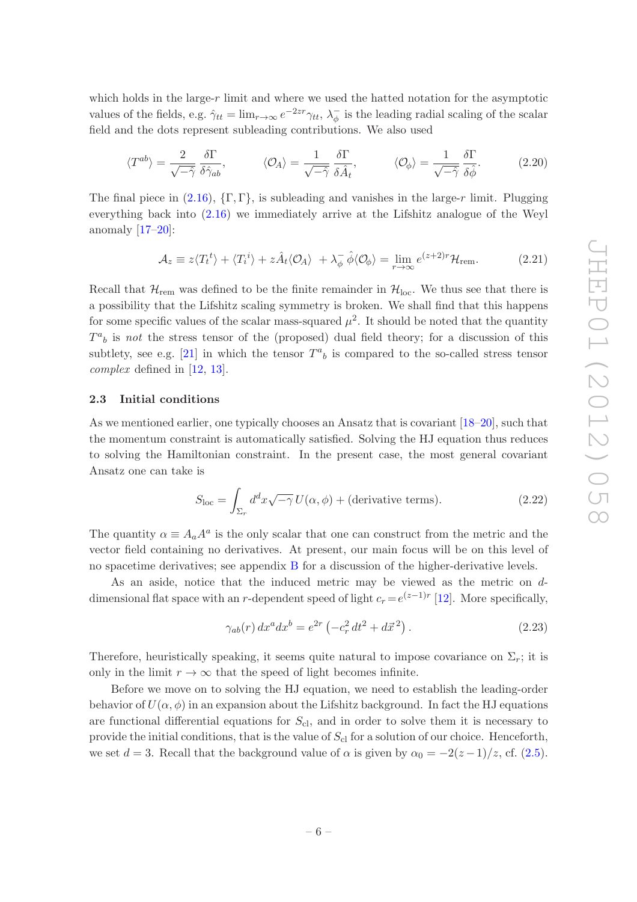which holds in the large-r limit and where we used the hatted notation for the asymptotic values of the fields, e.g.  $\hat{\gamma}_{tt} = \lim_{r \to \infty} e^{-2zr} \gamma_{tt}$ ,  $\lambda_{\phi}^-$  is the leading radial scaling of the scalar field and the dots represent subleading contributions. We also used

$$
\langle T^{ab}\rangle = \frac{2}{\sqrt{-\hat{\gamma}}} \frac{\delta \Gamma}{\delta \hat{\gamma}_{ab}}, \qquad \langle \mathcal{O}_A \rangle = \frac{1}{\sqrt{-\hat{\gamma}}} \frac{\delta \Gamma}{\delta \hat{A}_t}, \qquad \langle \mathcal{O}_\phi \rangle = \frac{1}{\sqrt{-\hat{\gamma}}} \frac{\delta \Gamma}{\delta \hat{\phi}}.
$$
 (2.20)

The final piece in [\(2.16\)](#page-6-1),  $\{\Gamma, \Gamma\}$ , is subleading and vanishes in the large-r limit. Plugging everything back into [\(2.16\)](#page-6-1) we immediately arrive at the Lifshitz analogue of the Weyl anomaly  $[17-20]$ :

<span id="page-7-1"></span>
$$
\mathcal{A}_z \equiv z \langle T_t^{\ t} \rangle + \langle T_i^{\ i} \rangle + z \hat{A}_t \langle \mathcal{O}_A \rangle + \lambda_{\phi}^{-} \hat{\phi} \langle \mathcal{O}_{\phi} \rangle = \lim_{r \to \infty} e^{(z+2)r} \mathcal{H}_{\text{rem}}.
$$
 (2.21)

Recall that  $\mathcal{H}_{rem}$  was defined to be the finite remainder in  $\mathcal{H}_{loc}$ . We thus see that there is a possibility that the Lifshitz scaling symmetry is broken. We shall find that this happens for some specific values of the scalar mass-squared  $\mu^2$ . It should be noted that the quantity  $T^a{}_b$  is not the stress tensor of the (proposed) dual field theory; for a discussion of this subtlety, see e.g. [\[21\]](#page-25-9) in which the tensor  $T^a{}_b$  is compared to the so-called stress tensor complex defined in [\[12,](#page-25-2) [13\]](#page-25-3).

### <span id="page-7-0"></span>2.3 Initial conditions

As we mentioned earlier, one typically chooses an Ansatz that is covariant [\[18](#page-25-10)[–20\]](#page-25-8), such that the momentum constraint is automatically satisfied. Solving the HJ equation thus reduces to solving the Hamiltonian constraint. In the present case, the most general covariant Ansatz one can take is

$$
S_{\rm loc} = \int_{\Sigma_r} d^d x \sqrt{-\gamma} U(\alpha, \phi) + \text{(derivative terms)}.
$$
 (2.22)

The quantity  $\alpha \equiv A_a A^a$  is the only scalar that one can construct from the metric and the vector field containing no derivatives. At present, our main focus will be on this level of no spacetime derivatives; see appendix [B](#page-22-0) for a discussion of the higher-derivative levels.

As an aside, notice that the induced metric may be viewed as the metric on ddimensional flat space with an r-dependent speed of light  $c_r = e^{(z-1)r}$  [\[12](#page-25-2)]. More specifically,

$$
\gamma_{ab}(r) dx^a dx^b = e^{2r} \left( -c_r^2 dt^2 + d\vec{x}^2 \right). \tag{2.23}
$$

Therefore, heuristically speaking, it seems quite natural to impose covariance on  $\Sigma_r$ ; it is only in the limit  $r \to \infty$  that the speed of light becomes infinite.

Before we move on to solving the HJ equation, we need to establish the leading-order behavior of  $U(\alpha, \phi)$  in an expansion about the Lifshitz background. In fact the HJ equations are functional differential equations for  $S_{\text{cl}}$ , and in order to solve them it is necessary to provide the initial conditions, that is the value of  $S_{\text{cl}}$  for a solution of our choice. Henceforth, we set  $d = 3$ . Recall that the background value of  $\alpha$  is given by  $\alpha_0 = -2(z-1)/z$ , cf. [\(2.5\)](#page-4-5).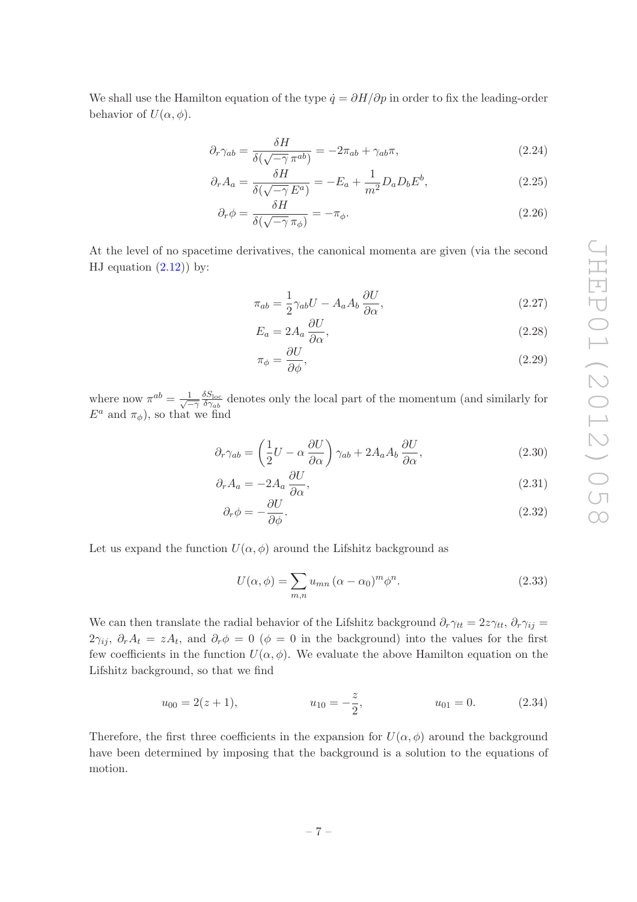We shall use the Hamilton equation of the type  $\dot{q} = \partial H/\partial p$  in order to fix the leading-order behavior of  $U(\alpha, \phi)$ .

$$
\partial_r \gamma_{ab} = \frac{\delta H}{\delta(\sqrt{-\gamma} \pi^{ab})} = -2\pi_{ab} + \gamma_{ab}\pi,\tag{2.24}
$$

$$
\partial_r A_a = \frac{\delta H}{\delta(\sqrt{-\gamma} E^a)} = -E_a + \frac{1}{m^2} D_a D_b E^b,\tag{2.25}
$$

$$
\partial_r \phi = \frac{\delta H}{\delta(\sqrt{-\gamma} \pi_\phi)} = -\pi_\phi. \tag{2.26}
$$

At the level of no spacetime derivatives, the canonical momenta are given (via the second HJ equation  $(2.12)$  by:

$$
\pi_{ab} = \frac{1}{2} \gamma_{ab} U - A_a A_b \frac{\partial U}{\partial \alpha},\tag{2.27}
$$

$$
E_a = 2A_a \frac{\partial U}{\partial \alpha},\tag{2.28}
$$

<span id="page-8-2"></span><span id="page-8-1"></span>
$$
\pi_{\phi} = \frac{\partial U}{\partial \phi},\tag{2.29}
$$

where now  $\pi^{ab} = \frac{1}{\sqrt{2}}$  $\overline{-\gamma}$  $\delta S_{\rm loc}$  $\frac{\partial S_{\text{loc}}}{\partial \gamma_{ab}}$  denotes only the local part of the momentum (and similarly for  $E^a$  and  $\pi_\phi$ ), so that we find

$$
\partial_r \gamma_{ab} = \left(\frac{1}{2}U - \alpha \frac{\partial U}{\partial \alpha}\right) \gamma_{ab} + 2A_a A_b \frac{\partial U}{\partial \alpha},\tag{2.30}
$$

$$
\partial_r A_a = -2A_a \frac{\partial U}{\partial \alpha},\tag{2.31}
$$

$$
\partial_r \phi = -\frac{\partial U}{\partial \phi}.\tag{2.32}
$$

Let us expand the function  $U(\alpha, \phi)$  around the Lifshitz background as

<span id="page-8-0"></span>
$$
U(\alpha, \phi) = \sum_{m,n} u_{mn} (\alpha - \alpha_0)^m \phi^n.
$$
 (2.33)

We can then translate the radial behavior of the Lifshitz background  $\partial_r \gamma_{tt} = 2z\gamma_{tt}, \partial_r \gamma_{ij} =$  $2\gamma_{ij}, \partial_r A_t = zA_t$ , and  $\partial_r \phi = 0$  ( $\phi = 0$  in the background) into the values for the first few coefficients in the function  $U(\alpha, \phi)$ . We evaluate the above Hamilton equation on the Lifshitz background, so that we find

$$
u_{00} = 2(z+1),
$$
  $u_{10} = -\frac{z}{2},$   $u_{01} = 0.$  (2.34)

Therefore, the first three coefficients in the expansion for  $U(\alpha, \phi)$  around the background have been determined by imposing that the background is a solution to the equations of motion.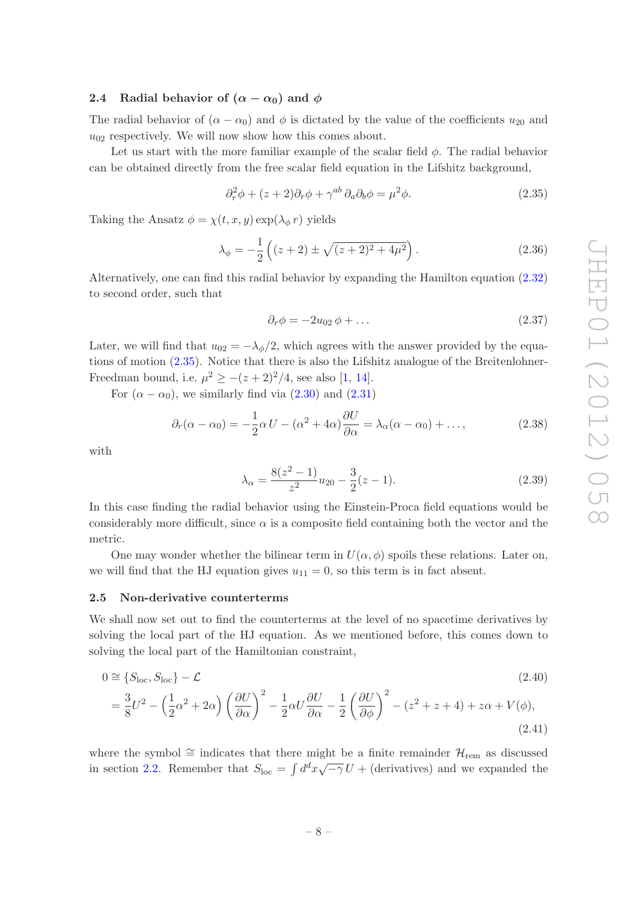## <span id="page-9-0"></span>2.4 Radial behavior of  $(\alpha - \alpha_0)$  and  $\phi$

The radial behavior of  $(\alpha - \alpha_0)$  and  $\phi$  is dictated by the value of the coefficients  $u_{20}$  and  $u_{02}$  respectively. We will now show how this comes about.

Let us start with the more familiar example of the scalar field  $\phi$ . The radial behavior can be obtained directly from the free scalar field equation in the Lifshitz background,

$$
\partial_r^2 \phi + (z+2)\partial_r \phi + \gamma^{ab} \partial_a \partial_b \phi = \mu^2 \phi.
$$
 (2.35)

Taking the Ansatz  $\phi = \chi(t, x, y) \exp(\lambda_{\phi} r)$  yields

$$
\lambda_{\phi} = -\frac{1}{2} \left( (z+2) \pm \sqrt{(z+2)^2 + 4\mu^2} \right). \tag{2.36}
$$

Alternatively, one can find this radial behavior by expanding the Hamilton equation [\(2.32\)](#page-8-0) to second order, such that

<span id="page-9-4"></span><span id="page-9-3"></span><span id="page-9-2"></span>
$$
\partial_r \phi = -2u_{02}\phi + \dots \tag{2.37}
$$

Later, we will find that  $u_{02} = -\lambda_{\phi}/2$ , which agrees with the answer provided by the equations of motion [\(2.35\)](#page-9-2). Notice that there is also the Lifshitz analogue of the Breitenlohner-Freedman bound, i.e.  $\mu^2 \ge -(z+2)^2/4$ , see also [\[1,](#page-24-0) [14](#page-25-4)].

For  $(\alpha - \alpha_0)$ , we similarly find via [\(2.30\)](#page-8-1) and [\(2.31\)](#page-8-2)

$$
\partial_r(\alpha - \alpha_0) = -\frac{1}{2}\alpha U - (\alpha^2 + 4\alpha)\frac{\partial U}{\partial \alpha} = \lambda_\alpha(\alpha - \alpha_0) + \dots,\tag{2.38}
$$

with

$$
\lambda_{\alpha} = \frac{8(z^2 - 1)}{z^2} u_{20} - \frac{3}{2}(z - 1). \tag{2.39}
$$

In this case finding the radial behavior using the Einstein-Proca field equations would be considerably more difficult, since  $\alpha$  is a composite field containing both the vector and the metric.

One may wonder whether the bilinear term in  $U(\alpha, \phi)$  spoils these relations. Later on, we will find that the HJ equation gives  $u_{11} = 0$ , so this term is in fact absent.

#### <span id="page-9-1"></span>2.5 Non-derivative counterterms

We shall now set out to find the counterterms at the level of no spacetime derivatives by solving the local part of the HJ equation. As we mentioned before, this comes down to solving the local part of the Hamiltonian constraint,

$$
0 \cong \{S_{\text{loc}}, S_{\text{loc}}\} - \mathcal{L}
$$
\n
$$
= \frac{3}{8}U^2 - \left(\frac{1}{2}\alpha^2 + 2\alpha\right)\left(\frac{\partial U}{\partial \alpha}\right)^2 - \frac{1}{2}\alpha U \frac{\partial U}{\partial \alpha} - \frac{1}{2}\left(\frac{\partial U}{\partial \phi}\right)^2 - (z^2 + z + 4) + z\alpha + V(\phi),
$$
\n(2.41)

where the symbol  $\cong$  indicates that there might be a finite remainder  $\mathcal{H}_{rem}$  as discussed in section [2.2.](#page-6-0) Remember that  $S_{\text{loc}} = \int d^d x \sqrt{-\gamma} U + (\text{derivatives})$  and we expanded the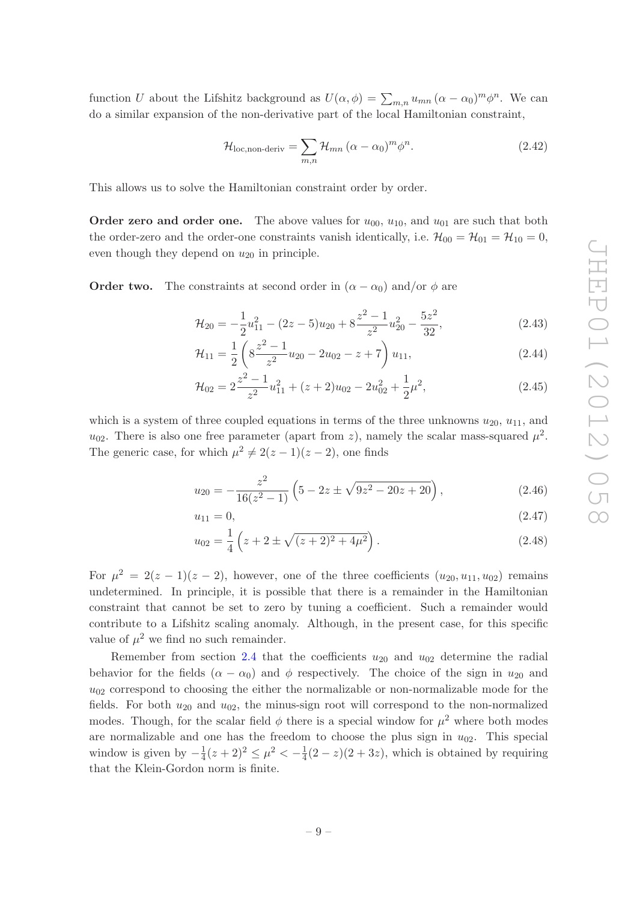function U about the Lifshitz background as  $U(\alpha, \phi) = \sum_{m,n} u_{mn} (\alpha - \alpha_0)^m \phi^n$ . We can do a similar expansion of the non-derivative part of the local Hamiltonian constraint,

$$
\mathcal{H}_{\text{loc,non-deriv}} = \sum_{m,n} \mathcal{H}_{mn} \left( \alpha - \alpha_0 \right)^m \phi^n. \tag{2.42}
$$

This allows us to solve the Hamiltonian constraint order by order.

**Order zero and order one.** The above values for  $u_{00}$ ,  $u_{10}$ , and  $u_{01}$  are such that both the order-zero and the order-one constraints vanish identically, i.e.  $\mathcal{H}_{00} = \mathcal{H}_{01} = \mathcal{H}_{10} = 0$ , even though they depend on  $u_{20}$  in principle.

**Order two.** The constraints at second order in  $(\alpha - \alpha_0)$  and/or  $\phi$  are

$$
\mathcal{H}_{20} = -\frac{1}{2}u_{11}^2 - (2z - 5)u_{20} + 8\frac{z^2 - 1}{z^2}u_{20}^2 - \frac{5z^2}{32},\tag{2.43}
$$

$$
\mathcal{H}_{11} = \frac{1}{2} \left( 8 \frac{z^2 - 1}{z^2} u_{20} - 2u_{02} - z + 7 \right) u_{11},\tag{2.44}
$$

$$
\mathcal{H}_{02} = 2\frac{z^2 - 1}{z^2}u_{11}^2 + (z + 2)u_{02} - 2u_{02}^2 + \frac{1}{2}\mu^2,\tag{2.45}
$$

which is a system of three coupled equations in terms of the three unknowns  $u_{20}$ ,  $u_{11}$ , and  $u_{02}$ . There is also one free parameter (apart from z), namely the scalar mass-squared  $\mu^2$ . The generic case, for which  $\mu^2 \neq 2(z-1)(z-2)$ , one finds

$$
u_{20} = -\frac{z^2}{16(z^2 - 1)} \left( 5 - 2z \pm \sqrt{9z^2 - 20z + 20} \right),\tag{2.46}
$$

$$
u_{11} = 0,\t\t(2.47)
$$

$$
u_{02} = \frac{1}{4} \left( z + 2 \pm \sqrt{(z+2)^2 + 4\mu^2} \right).
$$
 (2.48)

For  $\mu^2 = 2(z-1)(z-2)$ , however, one of the three coefficients  $(u_{20}, u_{11}, u_{02})$  remains undetermined. In principle, it is possible that there is a remainder in the Hamiltonian constraint that cannot be set to zero by tuning a coefficient. Such a remainder would contribute to a Lifshitz scaling anomaly. Although, in the present case, for this specific value of  $\mu^2$  we find no such remainder.

Remember from section [2.4](#page-9-0) that the coefficients  $u_{20}$  and  $u_{02}$  determine the radial behavior for the fields  $(\alpha - \alpha_0)$  and  $\phi$  respectively. The choice of the sign in  $u_{20}$  and  $u_{02}$  correspond to choosing the either the normalizable or non-normalizable mode for the fields. For both  $u_{20}$  and  $u_{02}$ , the minus-sign root will correspond to the non-normalized modes. Though, for the scalar field  $\phi$  there is a special window for  $\mu^2$  where both modes are normalizable and one has the freedom to choose the plus sign in  $u_{02}$ . This special window is given by  $-\frac{1}{4}$  $\frac{1}{4}(z+2)^2 \leq \mu^2 < -\frac{1}{4}$  $\frac{1}{4}(2-z)(2+3z)$ , which is obtained by requiring that the Klein-Gordon norm is finite.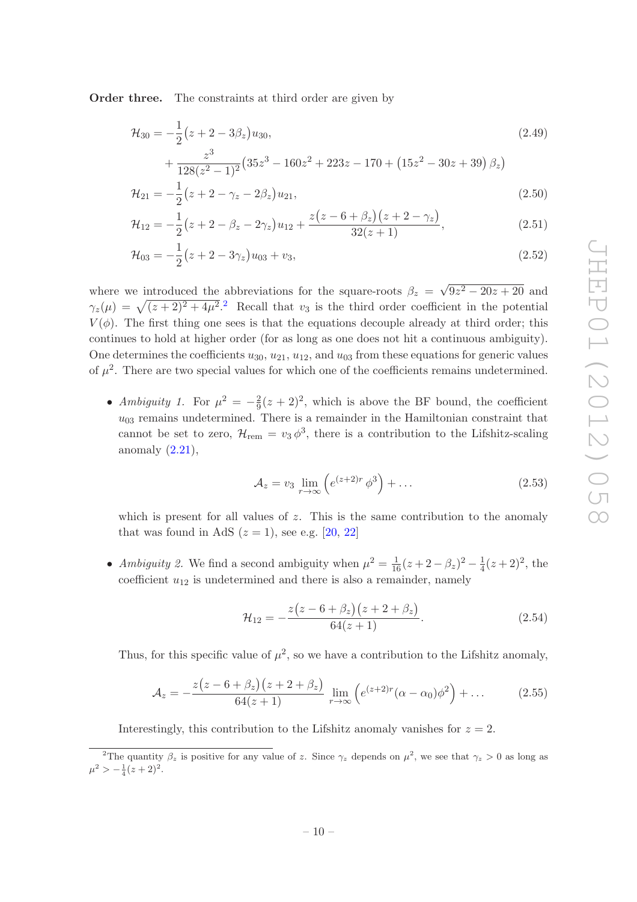Order three. The constraints at third order are given by

$$
\mathcal{H}_{30} = -\frac{1}{2} (z + 2 - 3\beta_z) u_{30},
$$
\n
$$
z^3 \qquad (25z^3 - 160z^2 + 223z - 170 + (15z^2 - 30z + 30) \beta)
$$
\n
$$
(2.49)
$$

$$
+\frac{z}{128(z^2-1)^2}(35z^3-160z^2+223z-170+(15z^2-30z+39)\beta_z)
$$
  

$$
\mathcal{H}_{21} = -\frac{1}{2}(z+2-\gamma_z-2\beta_z)u_{21},
$$
\n(2.50)

$$
\mathcal{H}_{12} = -\frac{1}{2}(z + 2 - \beta_z - 2\gamma_z)u_{12} + \frac{z(z - 6 + \beta_z)(z + 2 - \gamma_z)}{32(z + 1)},
$$
\n(2.51)

$$
\mathcal{H}_{03} = -\frac{1}{2}(z + 2 - 3\gamma_z)u_{03} + v_3,\tag{2.52}
$$

where we introduced the abbreviations for the square-roots  $\beta_z = \sqrt{9z^2 - 20z + 20}$  and  $\gamma_z(\mu) = \sqrt{(z+2)^2 + 4\mu^2}$  $\gamma_z(\mu) = \sqrt{(z+2)^2 + 4\mu^2}$  $\gamma_z(\mu) = \sqrt{(z+2)^2 + 4\mu^2}$ . Recall that  $v_3$  is the third order coefficient in the potential  $V(\phi)$ . The first thing one sees is that the equations decouple already at third order; this continues to hold at higher order (for as long as one does not hit a continuous ambiguity). One determines the coefficients  $u_{30}$ ,  $u_{21}$ ,  $u_{12}$ , and  $u_{03}$  from these equations for generic values of  $\mu^2$ . There are two special values for which one of the coefficients remains undetermined.

• Ambiguity 1. For  $\mu^2 = -\frac{2}{9}$  $\frac{2}{9}(z+2)^2$ , which is above the BF bound, the coefficient  $u_{03}$  remains undetermined. There is a remainder in the Hamiltonian constraint that cannot be set to zero,  $\mathcal{H}_{rem} = v_3 \phi^3$ , there is a contribution to the Lifshitz-scaling anomaly  $(2.21)$ ,

$$
\mathcal{A}_z = v_3 \lim_{r \to \infty} \left( e^{(z+2)r} \phi^3 \right) + \dots \tag{2.53}
$$

which is present for all values of  $z$ . This is the same contribution to the anomaly that was found in AdS  $(z = 1)$ , see e.g. [\[20,](#page-25-8) [22](#page-25-11)]

• Ambiguity 2. We find a second ambiguity when  $\mu^2 = \frac{1}{16}(z + 2 - \beta_z)^2 - \frac{1}{4}$  $\frac{1}{4}(z+2)^2$ , the coefficient  $u_{12}$  is undetermined and there is also a remainder, namely

$$
\mathcal{H}_{12} = -\frac{z(z - 6 + \beta_z)(z + 2 + \beta_z)}{64(z + 1)}.\tag{2.54}
$$

Thus, for this specific value of  $\mu^2$ , so we have a contribution to the Lifshitz anomaly,

$$
A_z = -\frac{z(z - 6 + \beta_z)(z + 2 + \beta_z)}{64(z + 1)} \lim_{r \to \infty} \left( e^{(z + 2)r} (\alpha - \alpha_0) \phi^2 \right) + \dots \tag{2.55}
$$

Interestingly, this contribution to the Lifshitz anomaly vanishes for  $z = 2$ .

<span id="page-11-0"></span><sup>&</sup>lt;sup>2</sup>The quantity  $\beta_z$  is positive for any value of z. Since  $\gamma_z$  depends on  $\mu^2$ , we see that  $\gamma_z > 0$  as long as  $\mu^2 > -\frac{1}{4}(z+2)^2$ .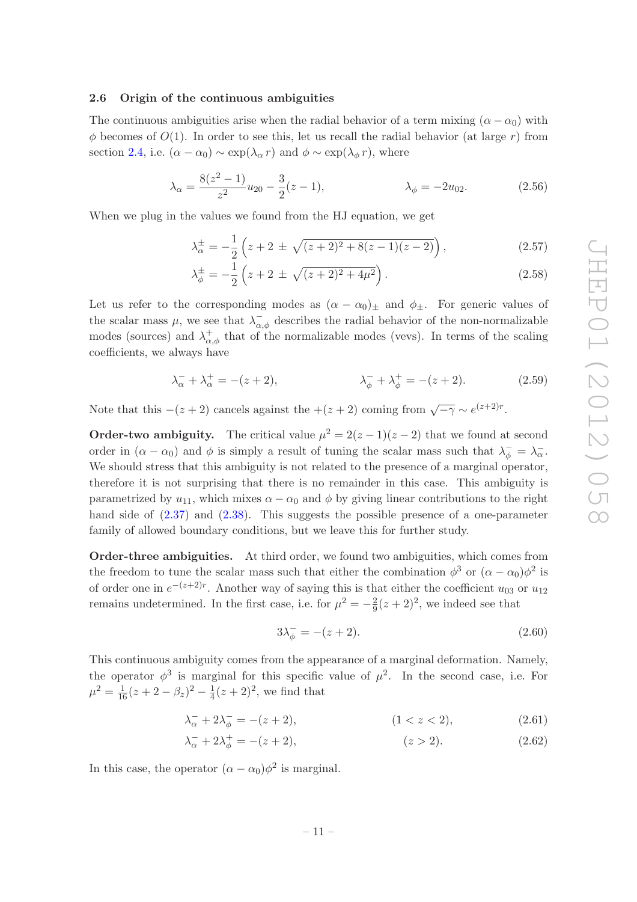## <span id="page-12-0"></span>2.6 Origin of the continuous ambiguities

The continuous ambiguities arise when the radial behavior of a term mixing  $(\alpha - \alpha_0)$  with  $\phi$  becomes of  $O(1)$ . In order to see this, let us recall the radial behavior (at large r) from section [2.4,](#page-9-0) i.e.  $(\alpha - \alpha_0) \sim \exp(\lambda_\alpha r)$  and  $\phi \sim \exp(\lambda_\phi r)$ , where

$$
\lambda_{\alpha} = \frac{8(z^2 - 1)}{z^2} u_{20} - \frac{3}{2}(z - 1), \qquad \lambda_{\phi} = -2u_{02}.
$$
 (2.56)

When we plug in the values we found from the HJ equation, we get

$$
\lambda_{\alpha}^{\pm} = -\frac{1}{2} \left( z + 2 \pm \sqrt{(z+2)^2 + 8(z-1)(z-2)} \right), \tag{2.57}
$$

$$
\lambda_{\phi}^{\pm} = -\frac{1}{2} \left( z + 2 \pm \sqrt{(z+2)^2 + 4\mu^2} \right). \tag{2.58}
$$

Let us refer to the corresponding modes as  $(\alpha - \alpha_0)_\pm$  and  $\phi_\pm$ . For generic values of the scalar mass  $\mu$ , we see that  $\lambda_{\alpha,\phi}^-$  describes the radial behavior of the non-normalizable modes (sources) and  $\lambda^+_{\alpha,\phi}$  that of the normalizable modes (vevs). In terms of the scaling coefficients, we always have

$$
\lambda_{\alpha}^{-} + \lambda_{\alpha}^{+} = -(z+2), \qquad \lambda_{\phi}^{-} + \lambda_{\phi}^{+} = -(z+2). \qquad (2.59)
$$

Note that this  $-(z+2)$  cancels against the  $+(z+2)$  coming from  $\sqrt{-\gamma} \sim e^{(z+2)r}$ .

**Order-two ambiguity.** The critical value  $\mu^2 = 2(z-1)(z-2)$  that we found at second order in  $(\alpha - \alpha_0)$  and  $\phi$  is simply a result of tuning the scalar mass such that  $\lambda_{\phi}^- = \lambda_{\alpha}^-$ . We should stress that this ambiguity is not related to the presence of a marginal operator, therefore it is not surprising that there is no remainder in this case. This ambiguity is parametrized by  $u_{11}$ , which mixes  $\alpha - \alpha_0$  and  $\phi$  by giving linear contributions to the right hand side of  $(2.37)$  and  $(2.38)$ . This suggests the possible presence of a one-parameter family of allowed boundary conditions, but we leave this for further study.

Order-three ambiguities. At third order, we found two ambiguities, which comes from the freedom to tune the scalar mass such that either the combination  $\phi^3$  or  $(\alpha - \alpha_0)\phi^2$  is of order one in  $e^{-(z+2)r}$ . Another way of saying this is that either the coefficient  $u_{03}$  or  $u_{12}$ remains undetermined. In the first case, i.e. for  $\mu^2 = -\frac{2}{9}$  $\frac{2}{9}(z+2)^2$ , we indeed see that

$$
3\lambda_{\phi}^{-} = -(z+2). \tag{2.60}
$$

This continuous ambiguity comes from the appearance of a marginal deformation. Namely, the operator  $\phi^3$  is marginal for this specific value of  $\mu^2$ . In the second case, i.e. For  $\mu^2 = \frac{1}{16}(z + 2 - \beta_z)^2 - \frac{1}{4}$  $\frac{1}{4}(z+2)^2$ , we find that

$$
\lambda_{\alpha}^- + 2\lambda_{\phi}^- = -(z+2), \qquad (1 < z < 2), \tag{2.61}
$$

$$
\lambda_{\alpha}^- + 2\lambda_{\phi}^+ = -(z+2), \qquad (z > 2). \tag{2.62}
$$

In this case, the operator  $(\alpha - \alpha_0)\phi^2$  is marginal.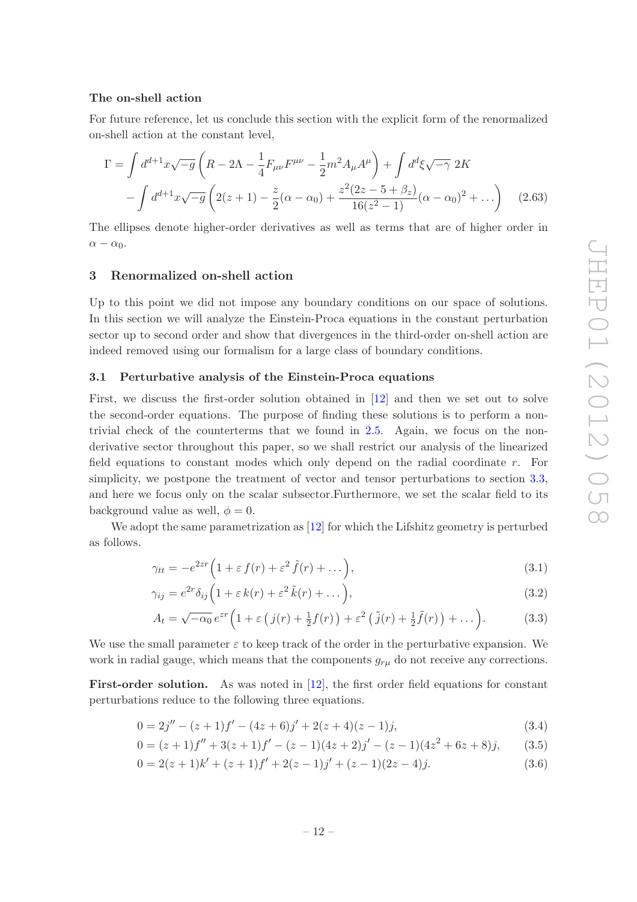## The on-shell action

For future reference, let us conclude this section with the explicit form of the renormalized on-shell action at the constant level,

$$
\Gamma = \int d^{d+1}x \sqrt{-g} \left( R - 2\Lambda - \frac{1}{4} F_{\mu\nu} F^{\mu\nu} - \frac{1}{2} m^2 A_\mu A^\mu \right) + \int d^d\xi \sqrt{-\gamma} 2K
$$

$$
- \int d^{d+1}x \sqrt{-g} \left( 2(z+1) - \frac{z}{2}(\alpha - \alpha_0) + \frac{z^2 (2z - 5 + \beta_z)}{16(z^2 - 1)} (\alpha - \alpha_0)^2 + \dots \right) \tag{2.63}
$$

The ellipses denote higher-order derivatives as well as terms that are of higher order in  $\alpha - \alpha_0$ .

## <span id="page-13-0"></span>3 Renormalized on-shell action

Up to this point we did not impose any boundary conditions on our space of solutions. In this section we will analyze the Einstein-Proca equations in the constant perturbation sector up to second order and show that divergences in the third-order on-shell action are indeed removed using our formalism for a large class of boundary conditions.

## <span id="page-13-1"></span>3.1 Perturbative analysis of the Einstein-Proca equations

First, we discuss the first-order solution obtained in [\[12](#page-25-2)] and then we set out to solve the second-order equations. The purpose of finding these solutions is to perform a nontrivial check of the counterterms that we found in [2.5.](#page-9-1) Again, we focus on the nonderivative sector throughout this paper, so we shall restrict our analysis of the linearized field equations to constant modes which only depend on the radial coordinate r. For simplicity, we postpone the treatment of vector and tensor perturbations to section [3.3,](#page-16-1) and here we focus only on the scalar subsector.Furthermore, we set the scalar field to its background value as well,  $\phi = 0$ .

We adopt the same parametrization as [\[12](#page-25-2)] for which the Lifshitz geometry is perturbed as follows.

$$
\gamma_{tt} = -e^{2zr} \left( 1 + \varepsilon f(r) + \varepsilon^2 \tilde{f}(r) + \dots \right),\tag{3.1}
$$

$$
\gamma_{ij} = e^{2r} \delta_{ij} \left( 1 + \varepsilon k(r) + \varepsilon^2 \tilde{k}(r) + \dots \right), \tag{3.2}
$$

$$
A_t = \sqrt{-\alpha_0} e^{zr} \left( 1 + \varepsilon \left( j(r) + \frac{1}{2} f(r) \right) + \varepsilon^2 \left( \tilde{j}(r) + \frac{1}{2} \tilde{f}(r) \right) + \dots \right). \tag{3.3}
$$

We use the small parameter  $\varepsilon$  to keep track of the order in the perturbative expansion. We work in radial gauge, which means that the components  $g_{r\mu}$  do not receive any corrections.

First-order solution. As was noted in [\[12\]](#page-25-2), the first order field equations for constant perturbations reduce to the following three equations.

$$
0 = 2j'' - (z+1)f' - (4z+6)j' + 2(z+4)(z-1)j,
$$
\n(3.4)

$$
0 = (z+1)f'' + 3(z+1)f' - (z-1)(4z+2)j' - (z-1)(4z2 + 6z + 8)j,
$$
 (3.5)

$$
0 = 2(z+1)k' + (z+1)f' + 2(z-1)j' + (z-1)(2z-4)j.
$$
\n(3.6)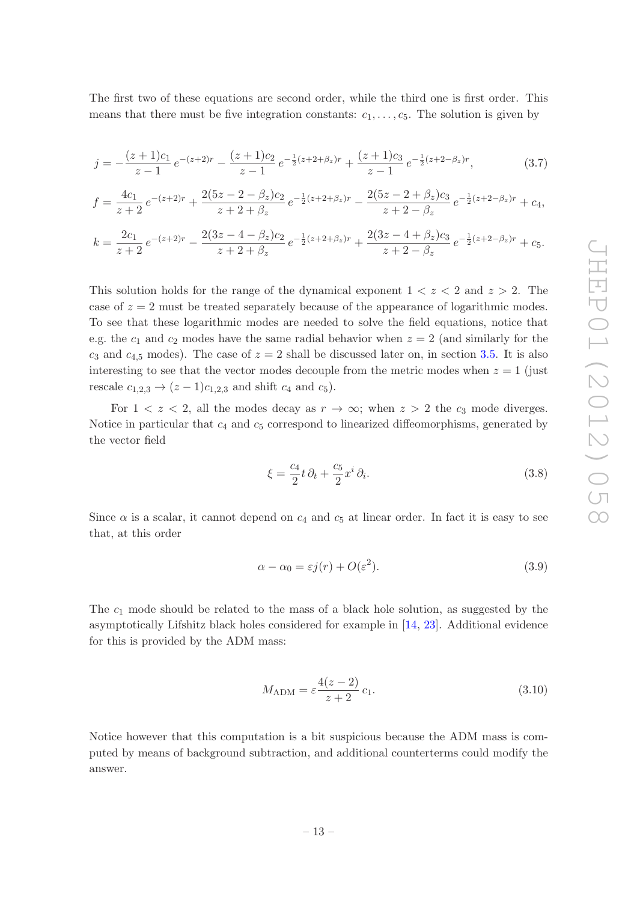The first two of these equations are second order, while the third one is first order. This means that there must be five integration constants:  $c_1, \ldots, c_5$ . The solution is given by

$$
j = -\frac{(z+1)c_1}{z-1}e^{-(z+2)r} - \frac{(z+1)c_2}{z-1}e^{-\frac{1}{2}(z+2+\beta_z)r} + \frac{(z+1)c_3}{z-1}e^{-\frac{1}{2}(z+2-\beta_z)r},
$$
(3.7)

$$
f = \frac{4c_1}{z+2}e^{-(z+2)r} + \frac{2(5z-2-\beta_z)c_2}{z+2+\beta_z}e^{-\frac{1}{2}(z+2+\beta_z)r} - \frac{2(5z-2+\beta_z)c_3}{z+2-\beta_z}e^{-\frac{1}{2}(z+2-\beta_z)r} + c_4,
$$

$$
k = \frac{2c_1}{z+2}e^{-(z+2)r} - \frac{2(3z-4-\beta_z)c_2}{z+2+\beta_z}e^{-\frac{1}{2}(z+2+\beta_z)r} + \frac{2(3z-4+\beta_z)c_3}{z+2-\beta_z}e^{-\frac{1}{2}(z+2-\beta_z)r} + c_5.
$$

This solution holds for the range of the dynamical exponent  $1 < z < 2$  and  $z > 2$ . The case of  $z = 2$  must be treated separately because of the appearance of logarithmic modes. To see that these logarithmic modes are needed to solve the field equations, notice that e.g. the  $c_1$  and  $c_2$  modes have the same radial behavior when  $z = 2$  (and similarly for the  $c_3$  and  $c_{4,5}$  modes). The case of  $z = 2$  shall be discussed later on, in section [3.5.](#page-17-1) It is also interesting to see that the vector modes decouple from the metric modes when  $z = 1$  (just rescale  $c_{1,2,3} \to (z-1)c_{1,2,3}$  and shift  $c_4$  and  $c_5$ ).

For  $1 < z < 2$ , all the modes decay as  $r \to \infty$ ; when  $z > 2$  the  $c_3$  mode diverges. Notice in particular that  $c_4$  and  $c_5$  correspond to linearized diffeomorphisms, generated by the vector field

$$
\xi = \frac{c_4}{2}t\,\partial_t + \frac{c_5}{2}x^i\,\partial_i.
$$
\n(3.8)

Since  $\alpha$  is a scalar, it cannot depend on  $c_4$  and  $c_5$  at linear order. In fact it is easy to see that, at this order

<span id="page-14-0"></span>
$$
\alpha - \alpha_0 = \varepsilon j(r) + O(\varepsilon^2). \tag{3.9}
$$

The  $c_1$  mode should be related to the mass of a black hole solution, as suggested by the asymptotically Lifshitz black holes considered for example in [\[14](#page-25-4), [23\]](#page-25-12). Additional evidence for this is provided by the ADM mass:

$$
M_{\text{ADM}} = \varepsilon \frac{4(z-2)}{z+2} c_1. \tag{3.10}
$$

Notice however that this computation is a bit suspicious because the ADM mass is computed by means of background subtraction, and additional counterterms could modify the answer.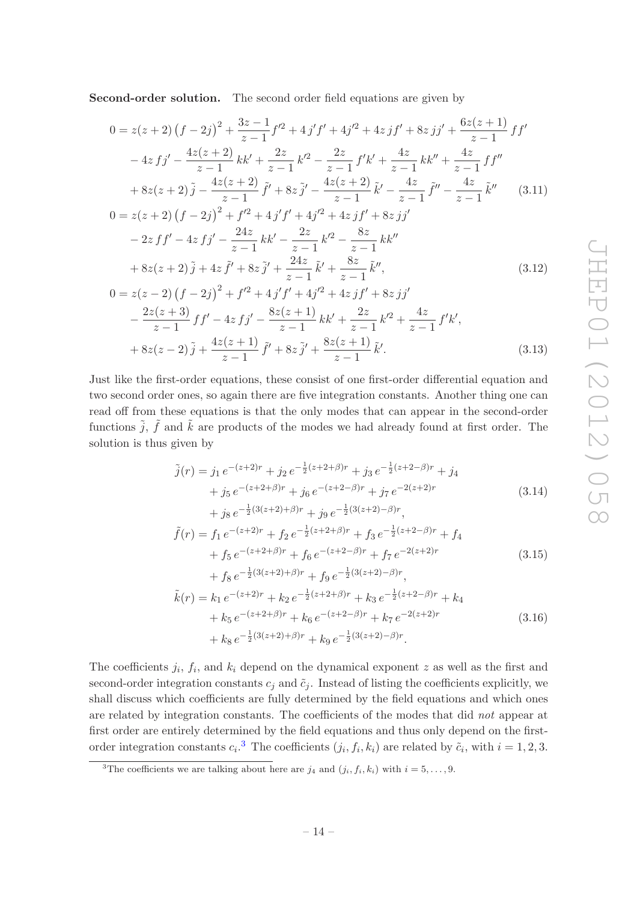Second-order solution. The second order field equations are given by

$$
0 = z(z+2) (f - 2j)^2 + \frac{3z-1}{z-1} f'^2 + 4j'f' + 4j'^2 + 4z jf' + 8z jj' + \frac{6z(z+1)}{z-1} f f'
$$
  

$$
- 4z f j' - \frac{4z(z+2)}{z-1} kk' + \frac{2z}{z-1} k'^2 - \frac{2z}{z-1} f'k' + \frac{4z}{z-1} kk'' + \frac{4z}{z-1} f f''
$$
  

$$
+ 8z(z+2) \tilde{j} - \frac{4z(z+2)}{z-1} \tilde{f}' + 8z \tilde{j}' - \frac{4z(z+2)}{z-1} \tilde{k}' - \frac{4z}{z-1} \tilde{f}'' - \frac{4z}{z-1} \tilde{k}'' \qquad (3.11)
$$

$$
0 = z(z+2) (f - 2j)^{2} + f'^{2} + 4j'f' + 4j'^{2} + 4z jf' + 8z jj'
$$
  

$$
- 2zff' - 4zfj' - \frac{24z}{z-1}kk' - \frac{2z}{z-1}k'^{2} - \frac{8z}{z-1}kk''
$$
  

$$
+ 8z(z+2)\tilde{j} + 4z \tilde{f}' + 8z \tilde{j}' + \frac{24z}{z-1} \tilde{k}' + \frac{8z}{z-1} \tilde{k}'', \qquad (3.12)
$$

$$
0 = z(z - 2) (f - 2j)^{2} + f'^{2} + 4j'f' + 4j'^{2} + 4z jf' + 8z jj'
$$
  
\n
$$
- \frac{2z(z + 3)}{z - 1} f f' - 4z f j' - \frac{8z(z + 1)}{z - 1} k k' + \frac{2z}{z - 1} k'^{2} + \frac{4z}{z - 1} f' k',
$$
  
\n
$$
+ 8z(z - 2) \tilde{j} + \frac{4z(z + 1)}{z - 1} \tilde{f}' + 8z \tilde{j}' + \frac{8z(z + 1)}{z - 1} \tilde{k}'. \qquad (3.13)
$$

Just like the first-order equations, these consist of one first-order differential equation and two second order ones, so again there are five integration constants. Another thing one can read off from these equations is that the only modes that can appear in the second-order functions  $\tilde{j}$ ,  $\tilde{f}$  and  $\tilde{k}$  are products of the modes we had already found at first order. The solution is thus given by

$$
\tilde{j}(r) = j_1 e^{-(z+2)r} + j_2 e^{-\frac{1}{2}(z+2+\beta)r} + j_3 e^{-\frac{1}{2}(z+2-\beta)r} + j_4 \n+ j_5 e^{-(z+2+\beta)r} + j_6 e^{-(z+2-\beta)r} + j_7 e^{-2(z+2)r} \n+ j_8 e^{-\frac{1}{2}(3(z+2)+\beta)r} + j_9 e^{-\frac{1}{2}(3(z+2)-\beta)r},
$$
\n(3.14)

$$
\tilde{f}(r) = f_1 e^{-(z+2)r} + f_2 e^{-\frac{1}{2}(z+2+\beta)r} + f_3 e^{-\frac{1}{2}(z+2-\beta)r} + f_4 \n+ f_5 e^{-(z+2+\beta)r} + f_6 e^{-(z+2-\beta)r} + f_7 e^{-2(z+2)r} \n+ f_8 e^{-\frac{1}{2}(3(z+2)+\beta)r} + f_9 e^{-\frac{1}{2}(3(z+2)-\beta)r},
$$
\n(3.15)

$$
\tilde{k}(r) = k_1 e^{-(z+2)r} + k_2 e^{-\frac{1}{2}(z+2+\beta)r} + k_3 e^{-\frac{1}{2}(z+2-\beta)r} + k_4 \n+ k_5 e^{-(z+2+\beta)r} + k_6 e^{-(z+2-\beta)r} + k_7 e^{-2(z+2)r} \n+ k_8 e^{-\frac{1}{2}(3(z+2)+\beta)r} + k_9 e^{-\frac{1}{2}(3(z+2)-\beta)r}.
$$
\n(3.16)

The coefficients  $j_i$ ,  $f_i$ , and  $k_i$  depend on the dynamical exponent z as well as the first and second-order integration constants  $c_j$  and  $\tilde{c}_j$ . Instead of listing the coefficients explicitly, we shall discuss which coefficients are fully determined by the field equations and which ones are related by integration constants. The coefficients of the modes that did not appear at first order are entirely determined by the field equations and thus only depend on the firstorder integration constants  $c_i$ <sup>[3](#page-15-0)</sup>. The coefficients  $(j_i, f_i, k_i)$  are related by  $\tilde{c}_i$ , with  $i = 1, 2, 3$ .

<span id="page-15-0"></span><sup>&</sup>lt;sup>3</sup>The coefficients we are talking about here are  $j_4$  and  $(j_i, f_i, k_i)$  with  $i = 5, \ldots, 9$ .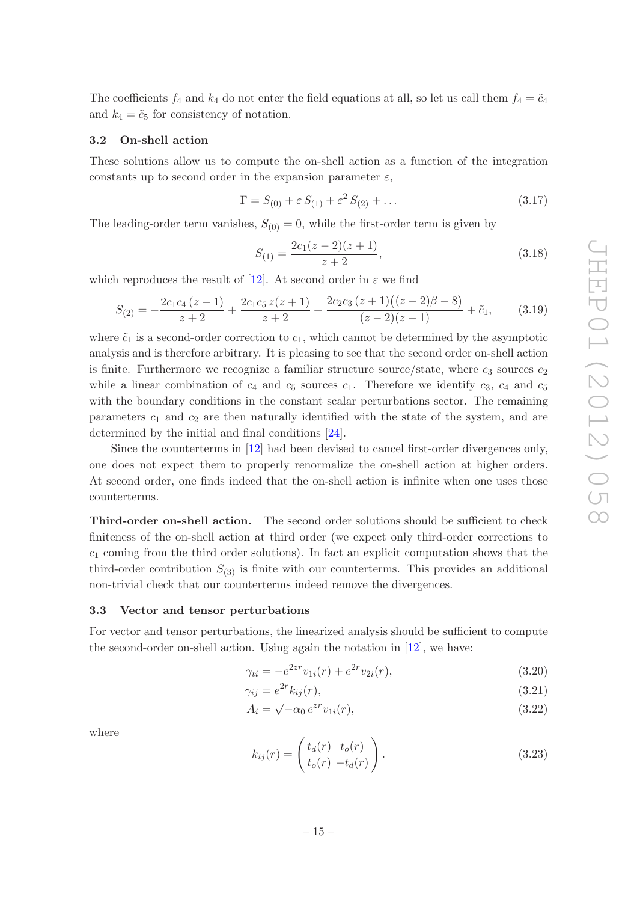The coefficients  $f_4$  and  $k_4$  do not enter the field equations at all, so let us call them  $f_4 = \tilde{c}_4$ and  $k_4 = \tilde{c}_5$  for consistency of notation.

## <span id="page-16-0"></span>3.2 On-shell action

These solutions allow us to compute the on-shell action as a function of the integration constants up to second order in the expansion parameter  $\varepsilon$ ,

$$
\Gamma = S_{(0)} + \varepsilon S_{(1)} + \varepsilon^2 S_{(2)} + \dots \tag{3.17}
$$

The leading-order term vanishes,  $S_{(0)} = 0$ , while the first-order term is given by

<span id="page-16-2"></span>
$$
S_{(1)} = \frac{2c_1(z-2)(z+1)}{z+2},\tag{3.18}
$$

which reproduces the result of [\[12](#page-25-2)]. At second order in  $\varepsilon$  we find

$$
S_{(2)} = -\frac{2c_1c_4(z-1)}{z+2} + \frac{2c_1c_5z(z+1)}{z+2} + \frac{2c_2c_3(z+1)((z-2)\beta - 8)}{(z-2)(z-1)} + \tilde{c}_1, \qquad (3.19)
$$

where  $\tilde{c}_1$  is a second-order correction to  $c_1$ , which cannot be determined by the asymptotic analysis and is therefore arbitrary. It is pleasing to see that the second order on-shell action is finite. Furthermore we recognize a familiar structure source/state, where  $c_3$  sources  $c_2$ while a linear combination of  $c_4$  and  $c_5$  sources  $c_1$ . Therefore we identify  $c_3$ ,  $c_4$  and  $c_5$ with the boundary conditions in the constant scalar perturbations sector. The remaining parameters  $c_1$  and  $c_2$  are then naturally identified with the state of the system, and are determined by the initial and final conditions [\[24](#page-25-13)].

Since the counterterms in [\[12](#page-25-2)] had been devised to cancel first-order divergences only, one does not expect them to properly renormalize the on-shell action at higher orders. At second order, one finds indeed that the on-shell action is infinite when one uses those counterterms.

Third-order on-shell action. The second order solutions should be sufficient to check finiteness of the on-shell action at third order (we expect only third-order corrections to  $c_1$  coming from the third order solutions). In fact an explicit computation shows that the third-order contribution  $S_{(3)}$  is finite with our counterterms. This provides an additional non-trivial check that our counterterms indeed remove the divergences.

## <span id="page-16-1"></span>3.3 Vector and tensor perturbations

For vector and tensor perturbations, the linearized analysis should be sufficient to compute the second-order on-shell action. Using again the notation in [\[12\]](#page-25-2), we have:

$$
\gamma_{ti} = -e^{2zr} v_{1i}(r) + e^{2r} v_{2i}(r), \qquad (3.20)
$$

$$
\gamma_{ij} = e^{2r} k_{ij}(r),\tag{3.21}
$$

$$
A_i = \sqrt{-\alpha_0} e^{zr} v_{1i}(r),\tag{3.22}
$$

where

$$
k_{ij}(r) = \begin{pmatrix} t_d(r) & t_o(r) \\ t_o(r) & -t_d(r) \end{pmatrix}.
$$
 (3.23)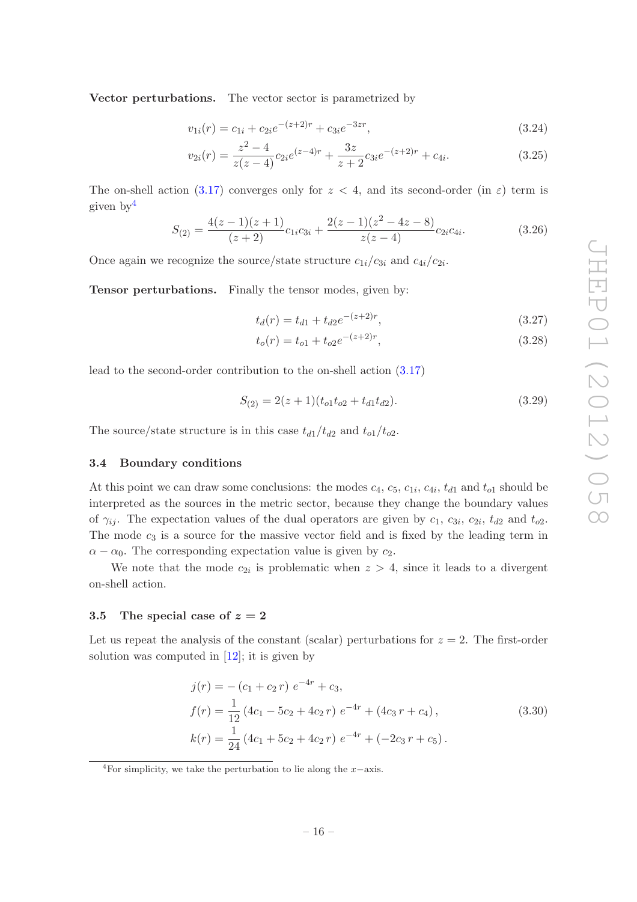Vector perturbations. The vector sector is parametrized by

$$
v_{1i}(r) = c_{1i} + c_{2i}e^{-(z+2)r} + c_{3i}e^{-3zr}, \qquad (3.24)
$$

$$
v_{2i}(r) = \frac{z^2 - 4}{z(z - 4)} c_{2i} e^{(z - 4)r} + \frac{3z}{z + 2} c_{3i} e^{-(z + 2)r} + c_{4i}.
$$
 (3.25)

The on-shell action [\(3.17\)](#page-16-2) converges only for  $z < 4$ , and its second-order (in  $\varepsilon$ ) term is given by[4](#page-17-2)

$$
S_{(2)} = \frac{4(z-1)(z+1)}{(z+2)}c_{1i}c_{3i} + \frac{2(z-1)(z^2-4z-8)}{z(z-4)}c_{2i}c_{4i}.
$$
 (3.26)

Once again we recognize the source/state structure  $c_{1i}/c_{3i}$  and  $c_{4i}/c_{2i}$ .

Tensor perturbations. Finally the tensor modes, given by:

$$
t_d(r) = t_{d1} + t_{d2}e^{-(z+2)r},
$$
\n(3.27)

$$
t_o(r) = t_{o1} + t_{o2}e^{-(z+2)r},
$$
\n(3.28)

lead to the second-order contribution to the on-shell action [\(3.17\)](#page-16-2)

$$
S_{(2)} = 2(z+1)(t_{o1}t_{o2} + t_{d1}t_{d2}).
$$
\n(3.29)

<span id="page-17-0"></span>The source/state structure is in this case  $t_{d1}/t_{d2}$  and  $t_{o1}/t_{o2}$ .

## 3.4 Boundary conditions

At this point we can draw some conclusions: the modes  $c_4$ ,  $c_5$ ,  $c_{1i}$ ,  $c_{4i}$ ,  $t_{d1}$  and  $t_{o1}$  should be interpreted as the sources in the metric sector, because they change the boundary values of  $\gamma_{ij}$ . The expectation values of the dual operators are given by  $c_1$ ,  $c_{3i}$ ,  $c_{2i}$ ,  $t_{d2}$  and  $t_{o2}$ . The mode  $c_3$  is a source for the massive vector field and is fixed by the leading term in  $\alpha - \alpha_0$ . The corresponding expectation value is given by  $c_2$ .

We note that the mode  $c_{2i}$  is problematic when  $z > 4$ , since it leads to a divergent on-shell action.

### <span id="page-17-1"></span>3.5 The special case of  $z = 2$

Let us repeat the analysis of the constant (scalar) perturbations for  $z = 2$ . The first-order solution was computed in [\[12\]](#page-25-2); it is given by

$$
j(r) = -(c_1 + c_2 r) e^{-4r} + c_3,
$$
  
\n
$$
f(r) = \frac{1}{12} (4c_1 - 5c_2 + 4c_2 r) e^{-4r} + (4c_3 r + c_4),
$$
  
\n
$$
k(r) = \frac{1}{24} (4c_1 + 5c_2 + 4c_2 r) e^{-4r} + (-2c_3 r + c_5).
$$
\n(3.30)

<span id="page-17-2"></span><sup>&</sup>lt;sup>4</sup>For simplicity, we take the perturbation to lie along the  $x$ −axis.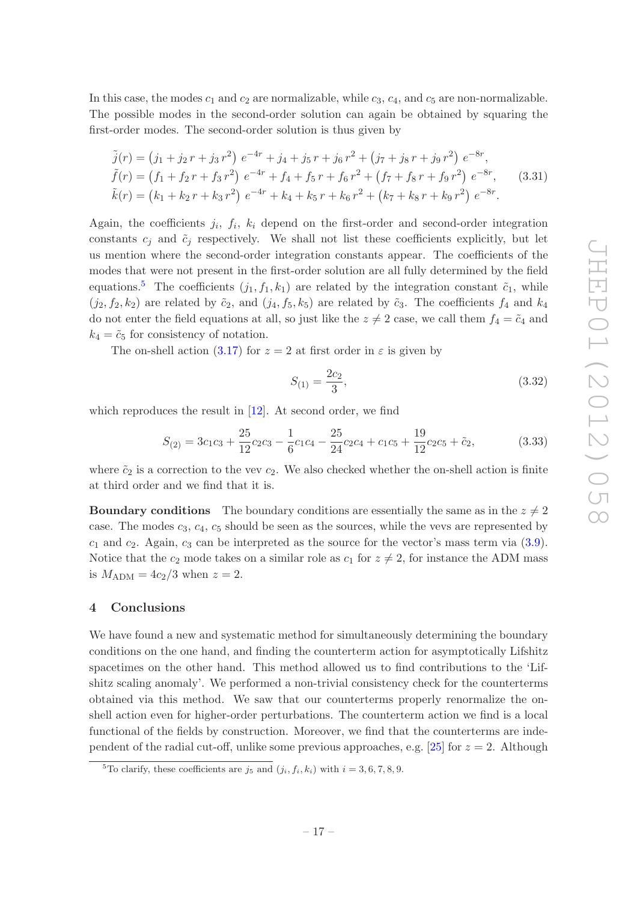In this case, the modes  $c_1$  and  $c_2$  are normalizable, while  $c_3$ ,  $c_4$ , and  $c_5$  are non-normalizable. The possible modes in the second-order solution can again be obtained by squaring the first-order modes. The second-order solution is thus given by

$$
\tilde{j}(r) = (j_1 + j_2r + j_3r^2) e^{-4r} + j_4 + j_5r + j_6r^2 + (j_7 + j_8r + j_9r^2) e^{-8r},
$$
  
\n
$$
\tilde{f}(r) = (f_1 + f_2r + f_3r^2) e^{-4r} + f_4 + f_5r + f_6r^2 + (f_7 + f_8r + f_9r^2) e^{-8r},
$$
\n(3.31)  
\n
$$
\tilde{k}(r) = (k_1 + k_2r + k_3r^2) e^{-4r} + k_4 + k_5r + k_6r^2 + (k_7 + k_8r + k_9r^2) e^{-8r}.
$$

Again, the coefficients  $j_i$ ,  $f_i$ ,  $k_i$  depend on the first-order and second-order integration constants  $c_j$  and  $\tilde{c}_j$  respectively. We shall not list these coefficients explicitly, but let us mention where the second-order integration constants appear. The coefficients of the modes that were not present in the first-order solution are all fully determined by the field equations.<sup>[5](#page-18-1)</sup> The coefficients  $(j_1, f_1, k_1)$  are related by the integration constant  $\tilde{c}_1$ , while  $(j_2, f_2, k_2)$  are related by  $\tilde{c}_2$ , and  $(j_4, f_5, k_5)$  are related by  $\tilde{c}_3$ . The coefficients  $f_4$  and  $k_4$ do not enter the field equations at all, so just like the  $z \neq 2$  case, we call them  $f_4 = \tilde{c}_4$  and  $k_4 = \tilde{c}_5$  for consistency of notation.

The on-shell action [\(3.17\)](#page-16-2) for  $z = 2$  at first order in  $\varepsilon$  is given by

$$
S_{(1)} = \frac{2c_2}{3},\tag{3.32}
$$

which reproduces the result in [\[12](#page-25-2)]. At second order, we find

$$
S_{(2)} = 3c_1c_3 + \frac{25}{12}c_2c_3 - \frac{1}{6}c_1c_4 - \frac{25}{24}c_2c_4 + c_1c_5 + \frac{19}{12}c_2c_5 + \tilde{c}_2,
$$
(3.33)

where  $\tilde{c}_2$  is a correction to the vev  $c_2$ . We also checked whether the on-shell action is finite at third order and we find that it is.

**Boundary conditions** The boundary conditions are essentially the same as in the  $z \neq 2$ case. The modes  $c_3, c_4, c_5$  should be seen as the sources, while the vevs are represented by  $c_1$  and  $c_2$ . Again,  $c_3$  can be interpreted as the source for the vector's mass term via  $(3.9)$ . Notice that the  $c_2$  mode takes on a similar role as  $c_1$  for  $z \neq 2$ , for instance the ADM mass is  $M_{\rm ADM}=4c_2/3$  when  $z=2$ .

### <span id="page-18-0"></span>4 Conclusions

We have found a new and systematic method for simultaneously determining the boundary conditions on the one hand, and finding the counterterm action for asymptotically Lifshitz spacetimes on the other hand. This method allowed us to find contributions to the 'Lifshitz scaling anomaly'. We performed a non-trivial consistency check for the counterterms obtained via this method. We saw that our counterterms properly renormalize the onshell action even for higher-order perturbations. The counterterm action we find is a local functional of the fields by construction. Moreover, we find that the counterterms are inde-pendent of the radial cut-off, unlike some previous approaches, e.g. [\[25\]](#page-25-14) for  $z = 2$ . Although

<span id="page-18-1"></span><sup>&</sup>lt;sup>5</sup>To clarify, these coefficients are  $j_5$  and  $(j_i, f_i, k_i)$  with  $i = 3, 6, 7, 8, 9$ .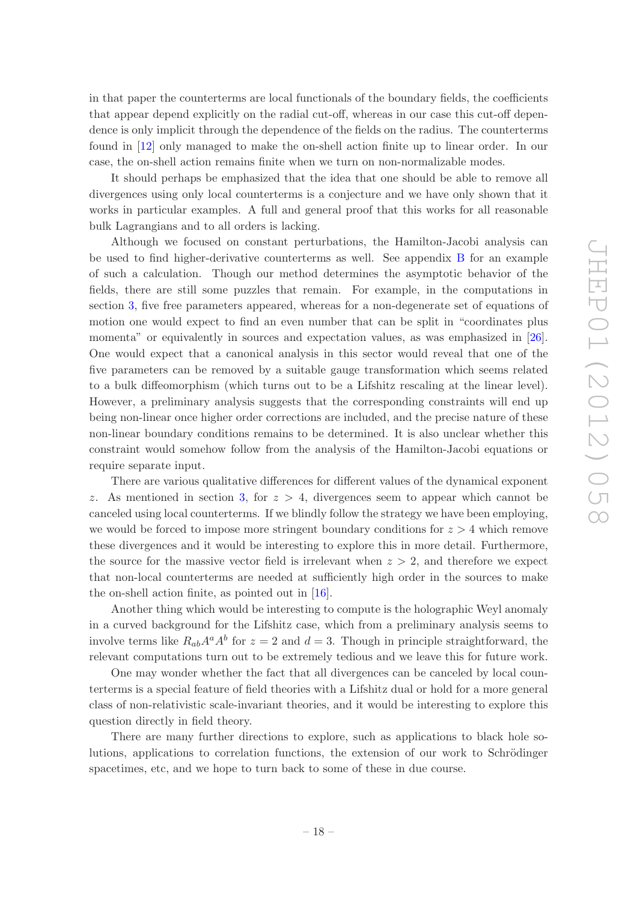in that paper the counterterms are local functionals of the boundary fields, the coefficients that appear depend explicitly on the radial cut-off, whereas in our case this cut-off dependence is only implicit through the dependence of the fields on the radius. The counterterms found in [\[12\]](#page-25-2) only managed to make the on-shell action finite up to linear order. In our case, the on-shell action remains finite when we turn on non-normalizable modes.

It should perhaps be emphasized that the idea that one should be able to remove all divergences using only local counterterms is a conjecture and we have only shown that it works in particular examples. A full and general proof that this works for all reasonable bulk Lagrangians and to all orders is lacking.

Although we focused on constant perturbations, the Hamilton-Jacobi analysis can be used to find higher-derivative counterterms as well. See appendix [B](#page-22-0) for an example of such a calculation. Though our method determines the asymptotic behavior of the fields, there are still some puzzles that remain. For example, in the computations in section [3,](#page-13-0) five free parameters appeared, whereas for a non-degenerate set of equations of motion one would expect to find an even number that can be split in "coordinates plus momenta" or equivalently in sources and expectation values, as was emphasized in [\[26\]](#page-25-15). One would expect that a canonical analysis in this sector would reveal that one of the five parameters can be removed by a suitable gauge transformation which seems related to a bulk diffeomorphism (which turns out to be a Lifshitz rescaling at the linear level). However, a preliminary analysis suggests that the corresponding constraints will end up being non-linear once higher order corrections are included, and the precise nature of these non-linear boundary conditions remains to be determined. It is also unclear whether this constraint would somehow follow from the analysis of the Hamilton-Jacobi equations or require separate input.

There are various qualitative differences for different values of the dynamical exponent z. As mentioned in section [3,](#page-13-0) for  $z > 4$ , divergences seem to appear which cannot be canceled using local counterterms. If we blindly follow the strategy we have been employing, we would be forced to impose more stringent boundary conditions for  $z > 4$  which remove these divergences and it would be interesting to explore this in more detail. Furthermore, the source for the massive vector field is irrelevant when  $z > 2$ , and therefore we expect that non-local counterterms are needed at sufficiently high order in the sources to make the on-shell action finite, as pointed out in [\[16\]](#page-25-6).

Another thing which would be interesting to compute is the holographic Weyl anomaly in a curved background for the Lifshitz case, which from a preliminary analysis seems to involve terms like  $R_{ab}A^a A^b$  for  $z = 2$  and  $d = 3$ . Though in principle straightforward, the relevant computations turn out to be extremely tedious and we leave this for future work.

One may wonder whether the fact that all divergences can be canceled by local counterterms is a special feature of field theories with a Lifshitz dual or hold for a more general class of non-relativistic scale-invariant theories, and it would be interesting to explore this question directly in field theory.

There are many further directions to explore, such as applications to black hole solutions, applications to correlation functions, the extension of our work to Schrödinger spacetimes, etc, and we hope to turn back to some of these in due course.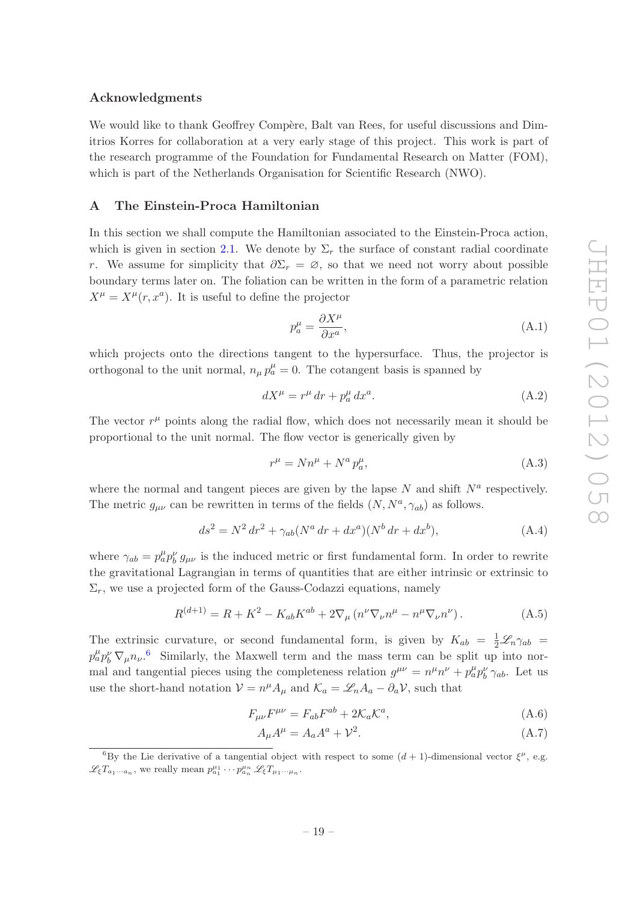## Acknowledgments

We would like to thank Geoffrey Compère, Balt van Rees, for useful discussions and Dimitrios Korres for collaboration at a very early stage of this project. This work is part of the research programme of the Foundation for Fundamental Research on Matter (FOM), which is part of the Netherlands Organisation for Scientific Research (NWO).

## <span id="page-20-0"></span>A The Einstein-Proca Hamiltonian

In this section we shall compute the Hamiltonian associated to the Einstein-Proca action, which is given in section [2.1.](#page-4-0) We denote by  $\Sigma_r$  the surface of constant radial coordinate r. We assume for simplicity that  $\partial \Sigma_r = \emptyset$ , so that we need not worry about possible boundary terms later on. The foliation can be written in the form of a parametric relation  $X^{\mu} = X^{\mu}(r, x^a)$ . It is useful to define the projector

$$
p_a^{\mu} = \frac{\partial X^{\mu}}{\partial x^a},\tag{A.1}
$$

which projects onto the directions tangent to the hypersurface. Thus, the projector is orthogonal to the unit normal,  $n_{\mu} p_a^{\mu} = 0$ . The cotangent basis is spanned by

$$
dX^{\mu} = r^{\mu} dr + p_a^{\mu} dx^a. \tag{A.2}
$$

The vector  $r^{\mu}$  points along the radial flow, which does not necessarily mean it should be proportional to the unit normal. The flow vector is generically given by

$$
r^{\mu} = N n^{\mu} + N^a p_a^{\mu}, \tag{A.3}
$$

where the normal and tangent pieces are given by the lapse  $N$  and shift  $N^a$  respectively. The metric  $g_{\mu\nu}$  can be rewritten in terms of the fields  $(N, N^a, \gamma_{ab})$  as follows.

$$
ds^{2} = N^{2} dr^{2} + \gamma_{ab} (N^{a} dr + dx^{a}) (N^{b} dr + dx^{b}), \qquad (A.4)
$$

where  $\gamma_{ab} = p_a^{\mu} p_b^{\nu} g_{\mu\nu}$  is the induced metric or first fundamental form. In order to rewrite the gravitational Lagrangian in terms of quantities that are either intrinsic or extrinsic to  $\Sigma_r$ , we use a projected form of the Gauss-Codazzi equations, namely

<span id="page-20-2"></span>
$$
R^{(d+1)} = R + K^2 - K_{ab} K^{ab} + 2 \nabla_{\mu} (n^{\nu} \nabla_{\nu} n^{\mu} - n^{\mu} \nabla_{\nu} n^{\nu}). \tag{A.5}
$$

The extrinsic curvature, or second fundamental form, is given by  $K_{ab} = \frac{1}{2} \mathcal{L}_n \gamma_{ab}$  $p_a^{\mu} p_b^{\nu} \nabla_{\mu} n_{\nu}$ .<sup>[6](#page-20-1)</sup> Similarly, the Maxwell term and the mass term can be split up into normal and tangential pieces using the completeness relation  $g^{\mu\nu} = n^{\mu}n^{\nu} + p^{\mu}_{a}p^{\nu}_{b}\gamma_{ab}$ . Let us use the short-hand notation  $V = n^{\mu} A_{\mu}$  and  $\mathcal{K}_a = \mathcal{L}_n A_a - \partial_a V$ , such that

$$
F_{\mu\nu}F^{\mu\nu} = F_{ab}F^{ab} + 2\mathcal{K}_a\mathcal{K}^a,\tag{A.6}
$$

$$
A_{\mu}A^{\mu} = A_a A^a + \mathcal{V}^2. \tag{A.7}
$$

<span id="page-20-1"></span><sup>&</sup>lt;sup>6</sup>By the Lie derivative of a tangential object with respect to some  $(d + 1)$ -dimensional vector  $\xi^{\mu}$ , e.g.  $\mathscr{L}_{\xi}T_{a_1\cdots a_n}$ , we really mean  $p_{a_1}^{\mu_1}\cdots p_{a_n}^{\mu_n}\mathscr{L}_{\xi}T_{\mu_1\cdots\mu_n}$ .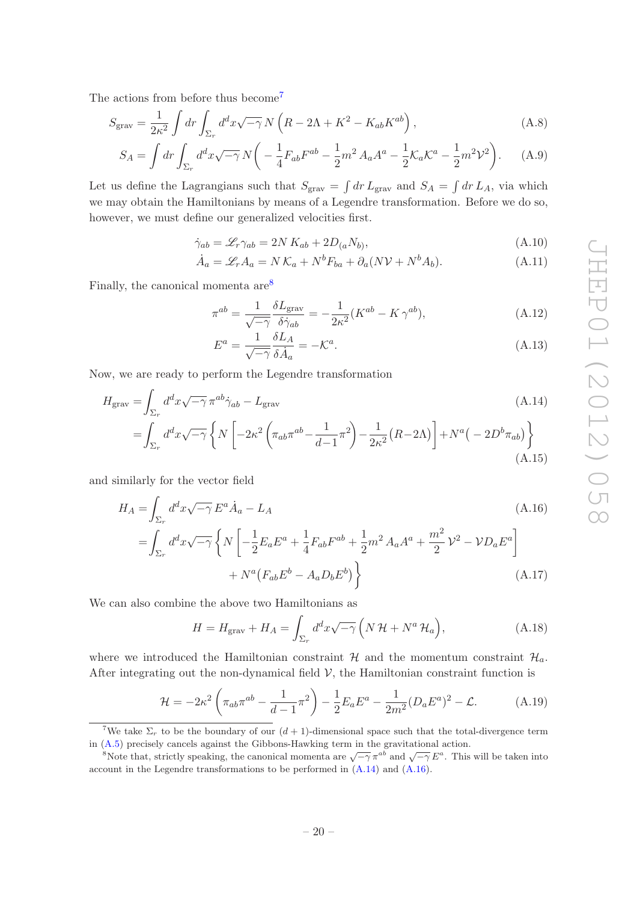The actions from before thus become<sup>[7](#page-21-0)</sup>

$$
S_{\text{grav}} = \frac{1}{2\kappa^2} \int dr \int_{\Sigma_r} d^d x \sqrt{-\gamma} N \left( R - 2\Lambda + K^2 - K_{ab} K^{ab} \right), \tag{A.8}
$$

$$
S_A = \int dr \int_{\Sigma_r} d^d x \sqrt{-\gamma} N \left( -\frac{1}{4} F_{ab} F^{ab} - \frac{1}{2} m^2 A_a A^a - \frac{1}{2} K_a K^a - \frac{1}{2} m^2 \mathcal{V}^2 \right). \tag{A.9}
$$

Let us define the Lagrangians such that  $S_{\text{grav}} = \int dr L_{\text{grav}}$  and  $S_A = \int dr L_A$ , via which we may obtain the Hamiltonians by means of a Legendre transformation. Before we do so, however, we must define our generalized velocities first.

$$
\dot{\gamma}_{ab} = \mathcal{L}_r \gamma_{ab} = 2N K_{ab} + 2D_{(a} N_{b)},\tag{A.10}
$$

$$
\dot{A}_a = \mathcal{L}_r A_a = N \mathcal{K}_a + N^b F_{ba} + \partial_a (N \mathcal{V} + N^b A_b). \tag{A.11}
$$

Finally, the canonical momenta  $are^8$  $are^8$ 

$$
\pi^{ab} = \frac{1}{\sqrt{-\gamma}} \frac{\delta L_{\text{grav}}}{\delta \dot{\gamma}_{ab}} = -\frac{1}{2\kappa^2} (K^{ab} - K \gamma^{ab}), \tag{A.12}
$$

<span id="page-21-3"></span><span id="page-21-2"></span>
$$
E^{a} = \frac{1}{\sqrt{-\gamma}} \frac{\delta L_{A}}{\delta \dot{A}_{a}} = -\mathcal{K}^{a}.
$$
\n(A.13)

Now, we are ready to perform the Legendre transformation

$$
H_{\text{grav}} = \int_{\Sigma_r} d^d x \sqrt{-\gamma} \pi^{ab} \dot{\gamma}_{ab} - L_{\text{grav}}
$$
\n
$$
= \int_{\Sigma_r} d^d x \sqrt{-\gamma} \left\{ N \left[ -2\kappa^2 \left( \pi_{ab} \pi^{ab} - \frac{1}{d-1} \pi^2 \right) - \frac{1}{2\kappa^2} \left( R - 2\Lambda \right) \right] + N^a \left( -2D^b \pi_{ab} \right) \right\}
$$
\n(A.14)

and similarly for the vector field

$$
H_{A} = \int_{\Sigma_{r}} d^{d}x \sqrt{-\gamma} E^{a} \dot{A}_{a} - L_{A}
$$
\n
$$
= \int_{\Sigma_{r}} d^{d}x \sqrt{-\gamma} \left\{ N \left[ -\frac{1}{2} E_{a} E^{a} + \frac{1}{4} F_{ab} F^{ab} + \frac{1}{2} m^{2} A_{a} A^{a} + \frac{m^{2}}{2} \mathcal{V}^{2} - \mathcal{V} D_{a} E^{a} \right] + N^{a} (F_{ab} E^{b} - A_{a} D_{b} E^{b}) \right\}
$$
\n(A.17)

We can also combine the above two Hamiltonians as

$$
H = H_{\text{grav}} + H_A = \int_{\Sigma_r} d^d x \sqrt{-\gamma} \left( N \mathcal{H} + N^a \mathcal{H}_a \right), \tag{A.18}
$$

where we introduced the Hamiltonian constraint  $\mathcal{H}$  and the momentum constraint  $\mathcal{H}_a$ . After integrating out the non-dynamical field  $V$ , the Hamiltonian constraint function is

$$
\mathcal{H} = -2\kappa^2 \left( \pi_{ab}\pi^{ab} - \frac{1}{d-1}\pi^2 \right) - \frac{1}{2}E_a E^a - \frac{1}{2m^2} (D_a E^a)^2 - \mathcal{L}.
$$
 (A.19)

<span id="page-21-0"></span><sup>&</sup>lt;sup>7</sup>We take  $\Sigma_r$  to be the boundary of our  $(d+1)$ -dimensional space such that the total-divergence term in [\(A.5\)](#page-20-2) precisely cancels against the Gibbons-Hawking term in the gravitational action.

<span id="page-21-1"></span><sup>&</sup>lt;sup>8</sup>Note that, strictly speaking, the canonical momenta are  $\sqrt{-\gamma} \pi^{ab}$  and  $\sqrt{-\gamma} E^a$ . This will be taken into account in the Legendre transformations to be performed in [\(A.14\)](#page-21-2) and [\(A.16\)](#page-21-3).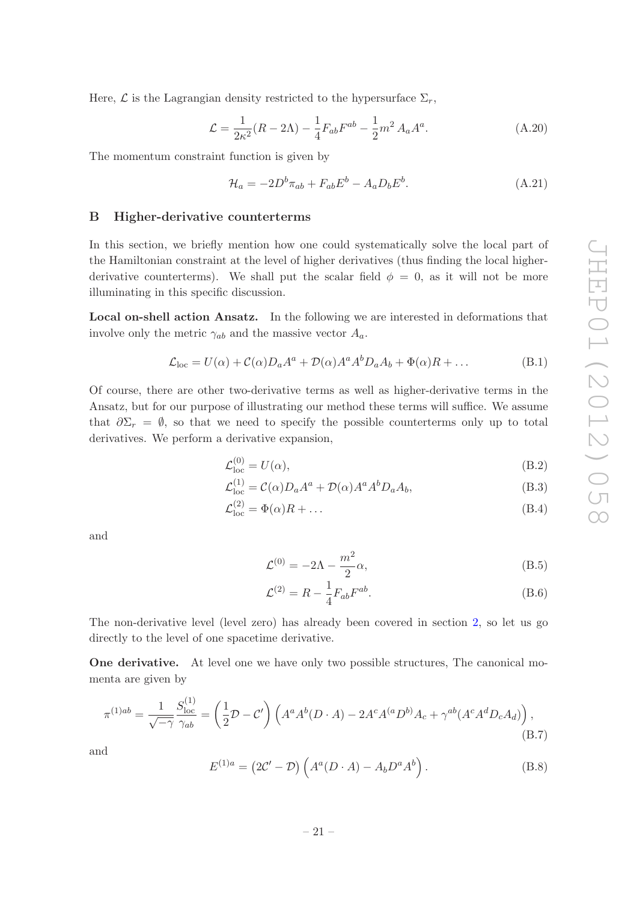Here,  $\mathcal L$  is the Lagrangian density restricted to the hypersurface  $\Sigma_r$ ,

$$
\mathcal{L} = \frac{1}{2\kappa^2} (R - 2\Lambda) - \frac{1}{4} F_{ab} F^{ab} - \frac{1}{2} m^2 A_a A^a.
$$
 (A.20)

The momentum constraint function is given by

$$
\mathcal{H}_a = -2D^b \pi_{ab} + F_{ab} E^b - A_a D_b E^b. \tag{A.21}
$$

## <span id="page-22-0"></span>B Higher-derivative counterterms

In this section, we briefly mention how one could systematically solve the local part of the Hamiltonian constraint at the level of higher derivatives (thus finding the local higherderivative counterterms). We shall put the scalar field  $\phi = 0$ , as it will not be more illuminating in this specific discussion.

Local on-shell action Ansatz. In the following we are interested in deformations that involve only the metric  $\gamma_{ab}$  and the massive vector  $A_a$ .

$$
\mathcal{L}_{loc} = U(\alpha) + C(\alpha)D_a A^a + \mathcal{D}(\alpha)A^a A^b D_a A_b + \Phi(\alpha)R + \dots
$$
 (B.1)

Of course, there are other two-derivative terms as well as higher-derivative terms in the Ansatz, but for our purpose of illustrating our method these terms will suffice. We assume that  $\partial \Sigma_r = \emptyset$ , so that we need to specify the possible counterterms only up to total derivatives. We perform a derivative expansion,

$$
\mathcal{L}_{\text{loc}}^{(0)} = U(\alpha),\tag{B.2}
$$

$$
\mathcal{L}^{(1)}_{loc} = \mathcal{C}(\alpha) D_a A^a + \mathcal{D}(\alpha) A^a A^b D_a A_b, \tag{B.3}
$$

$$
\mathcal{L}_{\text{loc}}^{(2)} = \Phi(\alpha)R + \dots \tag{B.4}
$$

and

$$
\mathcal{L}^{(0)} = -2\Lambda - \frac{m^2}{2}\alpha,\tag{B.5}
$$

$$
\mathcal{L}^{(2)} = R - \frac{1}{4} F_{ab} F^{ab}.
$$
 (B.6)

The non-derivative level (level zero) has already been covered in section [2,](#page-3-0) so let us go directly to the level of one spacetime derivative.

One derivative. At level one we have only two possible structures, The canonical momenta are given by

$$
\pi^{(1)ab} = \frac{1}{\sqrt{-\gamma}} \frac{S_{\text{loc}}^{(1)}}{\gamma_{ab}} = \left(\frac{1}{2}\mathcal{D} - \mathcal{C}'\right) \left(A^a A^b (D \cdot A) - 2A^c A^{(a} D^{b)} A_c + \gamma^{ab} (A^c A^d D_c A_d)\right),\tag{B.7}
$$

and

$$
E^{(1)a} = (2\mathcal{C}' - \mathcal{D}) \left( A^a (D \cdot A) - A_b D^a A^b \right). \tag{B.8}
$$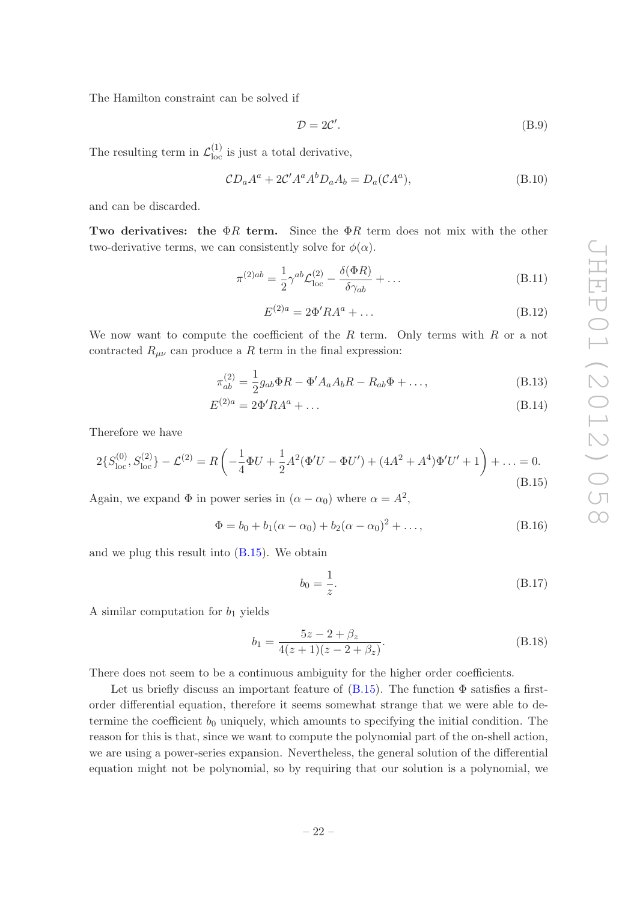The Hamilton constraint can be solved if

$$
\mathcal{D} = 2\mathcal{C}'.\tag{B.9}
$$

The resulting term in  $\mathcal{L}_{loc}^{(1)}$  is just a total derivative,

$$
CDaAa + 2C'AaAbDaAb = Da(CAa),
$$
 (B.10)

and can be discarded.

Two derivatives: the  $\Phi R$  term. Since the  $\Phi R$  term does not mix with the other two-derivative terms, we can consistently solve for  $\phi(\alpha)$ .

$$
\pi^{(2)ab} = \frac{1}{2} \gamma^{ab} \mathcal{L}_{\text{loc}}^{(2)} - \frac{\delta(\Phi R)}{\delta \gamma_{ab}} + \dots \tag{B.11}
$$

$$
E^{(2)a} = 2\Phi' R A^a + \dots \tag{B.12}
$$

We now want to compute the coefficient of the R term. Only terms with R or a not contracted  $R_{\mu\nu}$  can produce a R term in the final expression:

$$
\pi_{ab}^{(2)} = \frac{1}{2} g_{ab} \Phi R - \Phi' A_a A_b R - R_{ab} \Phi + \dots,
$$
\n(B.13)

$$
E^{(2)a} = 2\Phi' R A^a + \dots \tag{B.14}
$$

Therefore we have

<span id="page-23-0"></span>
$$
2\{S_{\text{loc}}^{(0)}, S_{\text{loc}}^{(2)}\} - \mathcal{L}^{(2)} = R\left(-\frac{1}{4}\Phi U + \frac{1}{2}A^2(\Phi'U - \Phi U') + (4A^2 + A^4)\Phi'U' + 1\right) + \dots = 0.
$$
\n(B.15)

Again, we expand  $\Phi$  in power series in  $(\alpha - \alpha_0)$  where  $\alpha = A^2$ ,

$$
\Phi = b_0 + b_1(\alpha - \alpha_0) + b_2(\alpha - \alpha_0)^2 + \dots,
$$
\n(B.16)

and we plug this result into  $(B.15)$ . We obtain

$$
b_0 = \frac{1}{z}.\tag{B.17}
$$

A similar computation for  $b_1$  yields

$$
b_1 = \frac{5z - 2 + \beta_z}{4(z+1)(z-2+\beta_z)}.
$$
 (B.18)

There does not seem to be a continuous ambiguity for the higher order coefficients.

Let us briefly discuss an important feature of  $(B.15)$ . The function  $\Phi$  satisfies a firstorder differential equation, therefore it seems somewhat strange that we were able to determine the coefficient  $b_0$  uniquely, which amounts to specifying the initial condition. The reason for this is that, since we want to compute the polynomial part of the on-shell action, we are using a power-series expansion. Nevertheless, the general solution of the differential equation might not be polynomial, so by requiring that our solution is a polynomial, we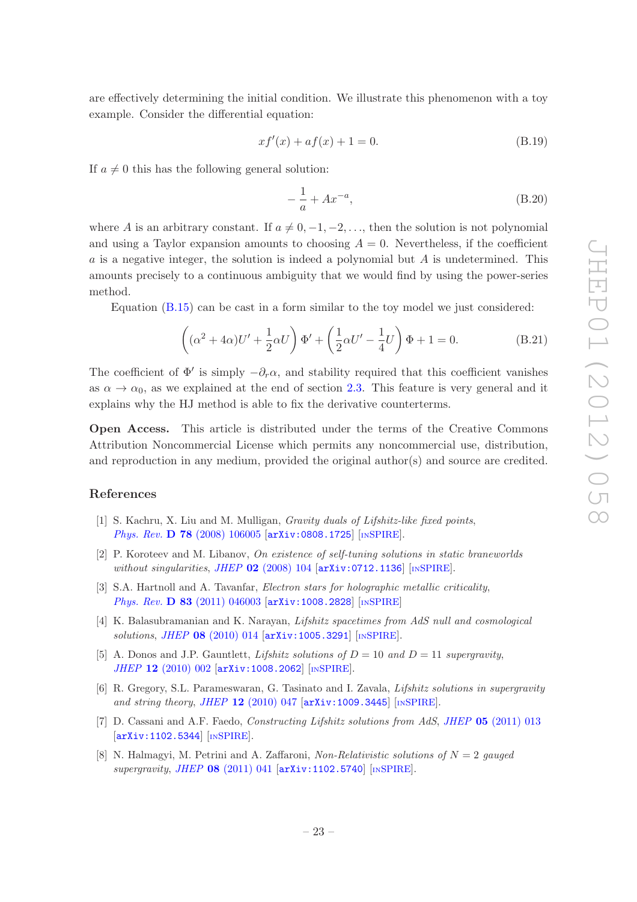are effectively determining the initial condition. We illustrate this phenomenon with a toy example. Consider the differential equation:

$$
xf'(x) + af(x) + 1 = 0.
$$
 (B.19)

If  $a \neq 0$  this has the following general solution:

$$
-\frac{1}{a} + Ax^{-a},\tag{B.20}
$$

where A is an arbitrary constant. If  $a \neq 0, -1, -2, \ldots$ , then the solution is not polynomial and using a Taylor expansion amounts to choosing  $A = 0$ . Nevertheless, if the coefficient a is a negative integer, the solution is indeed a polynomial but  $A$  is undetermined. This amounts precisely to a continuous ambiguity that we would find by using the power-series method.

Equation [\(B.15\)](#page-23-0) can be cast in a form similar to the toy model we just considered:

$$
\left( (\alpha^2 + 4\alpha)U' + \frac{1}{2}\alpha U \right) \Phi' + \left( \frac{1}{2}\alpha U' - \frac{1}{4}U \right) \Phi + 1 = 0.
$$
 (B.21)

The coefficient of  $\Phi'$  is simply  $-\partial_r\alpha$ , and stability required that this coefficient vanishes as  $\alpha \to \alpha_0$ , as we explained at the end of section [2.3.](#page-7-0) This feature is very general and it explains why the HJ method is able to fix the derivative counterterms.

Open Access. This article is distributed under the terms of the Creative Commons Attribution Noncommercial License which permits any noncommercial use, distribution, and reproduction in any medium, provided the original author(s) and source are credited.

## References

- <span id="page-24-0"></span>[1] S. Kachru, X. Liu and M. Mulligan, *Gravity duals of Lifshitz-like fixed points*, Phys. Rev. D 78 [\(2008\) 106005](http://dx.doi.org/10.1103/PhysRevD.78.106005) [[arXiv:0808.1725](http://arxiv.org/abs/0808.1725)] [IN[SPIRE](http://inspirehep.net/search?p=find+EPRINT+arXiv:0808.1725)].
- <span id="page-24-1"></span>[2] P. Koroteev and M. Libanov, On existence of self-tuning solutions in static braneworlds without singularities, JHEP 02 [\(2008\) 104](http://dx.doi.org/10.1088/1126-6708/2008/02/104) [[arXiv:0712.1136](http://arxiv.org/abs/0712.1136)] [IN[SPIRE](http://inspirehep.net/search?p=find+EPRINT+arXiv:0712.1136)].
- <span id="page-24-2"></span>[3] S.A. Hartnoll and A. Tavanfar, *Electron stars for holographic metallic criticality*, Phys. Rev. D 83 [\(2011\) 046003](http://dx.doi.org/10.1103/PhysRevD.83.046003) [[arXiv:1008.2828](http://arxiv.org/abs/1008.2828)] [IN[SPIRE](http://inspirehep.net/search?p=find+EPRINT+arXiv:1008.2828)]
- <span id="page-24-3"></span>[4] K. Balasubramanian and K. Narayan, Lifshitz spacetimes from AdS null and cosmological solutions, JHEP 08 [\(2010\) 014](http://dx.doi.org/10.1007/JHEP08(2010)014) [[arXiv:1005.3291](http://arxiv.org/abs/1005.3291)] [IN[SPIRE](http://inspirehep.net/search?p=find+EPRINT+arXiv:1005.3291)].
- [5] A. Donos and J.P. Gauntlett, *Lifshitz solutions of*  $D = 10$  and  $D = 11$  supergravity, JHEP 12 [\(2010\) 002](http://dx.doi.org/10.1007/JHEP12(2010)002) [[arXiv:1008.2062](http://arxiv.org/abs/1008.2062)] [IN[SPIRE](http://inspirehep.net/search?p=find+EPRINT+arXiv:1008.2062)].
- [6] R. Gregory, S.L. Parameswaran, G. Tasinato and I. Zavala, Lifshitz solutions in supergravity and string theory, JHEP  $12$  [\(2010\) 047](http://dx.doi.org/10.1007/JHEP12(2010)047) [[arXiv:1009.3445](http://arxiv.org/abs/1009.3445)] [IN[SPIRE](http://inspirehep.net/search?p=find+EPRINT+arXiv:1009.3445)].
- [7] D. Cassani and A.F. Faedo, *Constructing Lifshitz solutions from AdS*, *JHEP* **05** [\(2011\) 013](http://dx.doi.org/10.1007/JHEP05(2011)013) [[arXiv:1102.5344](http://arxiv.org/abs/1102.5344)] [IN[SPIRE](http://inspirehep.net/search?p=find+EPRINT+arXiv:1102.5344)].
- [8] N. Halmagyi, M. Petrini and A. Zaffaroni, Non-Relativistic solutions of  $N = 2$  gauged supergravity, JHEP  $08$  [\(2011\) 041](http://dx.doi.org/10.1007/JHEP08(2011)041)  $\text{arXiv:1102.5740}$  $\text{arXiv:1102.5740}$  $\text{arXiv:1102.5740}$  [IN[SPIRE](http://inspirehep.net/search?p=find+EPRINT+arXiv:1102.5740)].